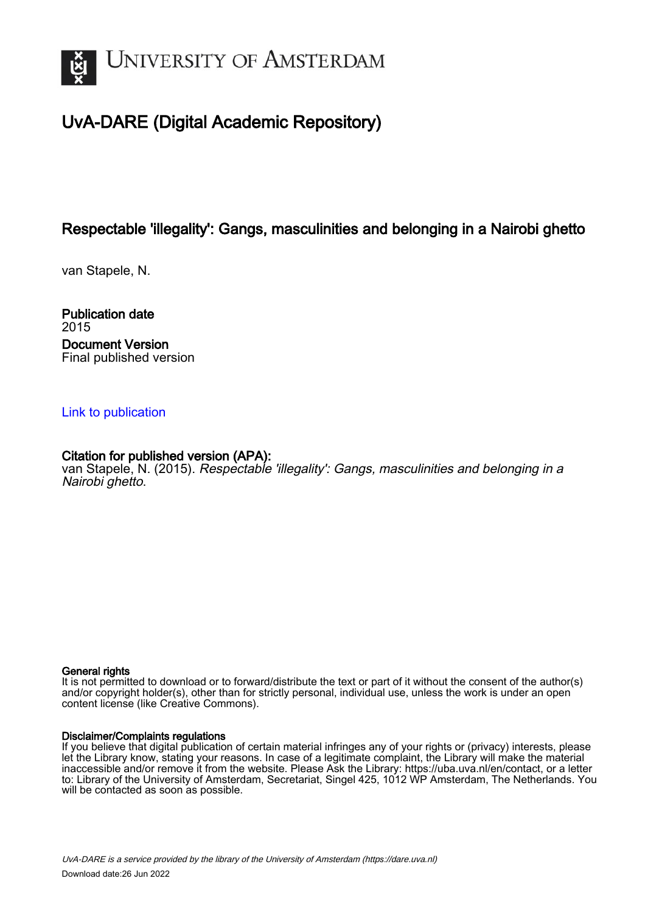

# UvA-DARE (Digital Academic Repository)

## Respectable 'illegality': Gangs, masculinities and belonging in a Nairobi ghetto

van Stapele, N.

Publication date 2015 Document Version Final published version

## [Link to publication](https://dare.uva.nl/personal/pure/en/publications/respectable-illegality-gangs-masculinities-and-belonging-in-a-nairobi-ghetto(41ca563c-6e97-4b9b-b44f-10cf43464969).html)

## Citation for published version (APA):

van Stapele, N. (2015). Respectable 'illegality': Gangs, masculinities and belonging in a Nairobi ghetto.

#### General rights

It is not permitted to download or to forward/distribute the text or part of it without the consent of the author(s) and/or copyright holder(s), other than for strictly personal, individual use, unless the work is under an open content license (like Creative Commons).

#### Disclaimer/Complaints regulations

If you believe that digital publication of certain material infringes any of your rights or (privacy) interests, please let the Library know, stating your reasons. In case of a legitimate complaint, the Library will make the material inaccessible and/or remove it from the website. Please Ask the Library: https://uba.uva.nl/en/contact, or a letter to: Library of the University of Amsterdam, Secretariat, Singel 425, 1012 WP Amsterdam, The Netherlands. You will be contacted as soon as possible.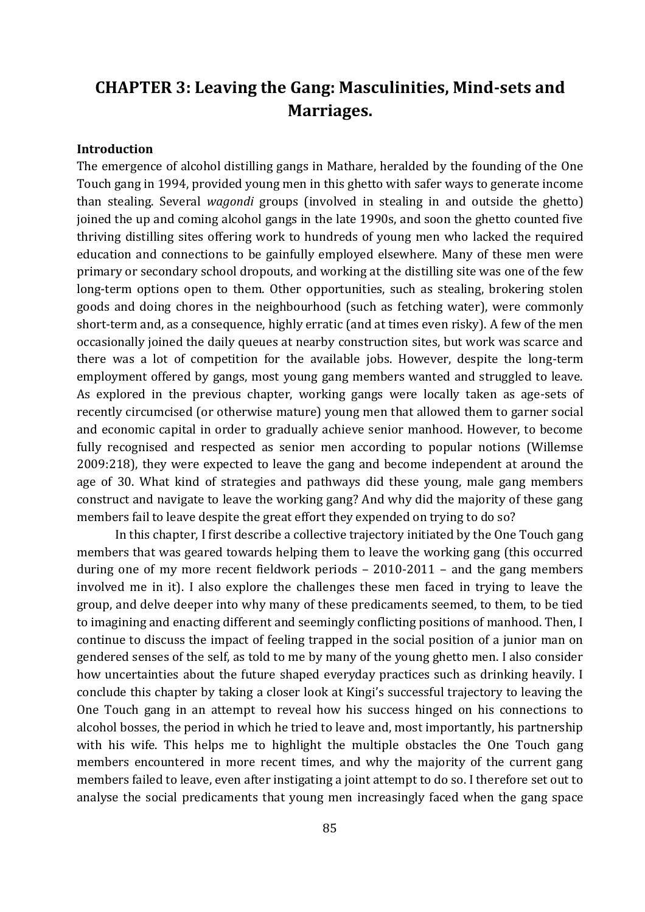# **CHAPTER 3: Leaving the Gang: Masculinities, Mind-sets and Marriages.**

### **Introduction**

The emergence of alcohol distilling gangs in Mathare, heralded by the founding of the One Touch gang in 1994, provided young men in this ghetto with safer ways to generate income than stealing. Several *wagondi* groups (involved in stealing in and outside the ghetto) joined the up and coming alcohol gangs in the late 1990s, and soon the ghetto counted five thriving distilling sites offering work to hundreds of young men who lacked the required education and connections to be gainfully employed elsewhere. Many of these men were primary or secondary school dropouts, and working at the distilling site was one of the few long-term options open to them. Other opportunities, such as stealing, brokering stolen goods and doing chores in the neighbourhood (such as fetching water), were commonly short-term and, as a consequence, highly erratic (and at times even risky). A few of the men occasionally joined the daily queues at nearby construction sites, but work was scarce and there was a lot of competition for the available jobs. However, despite the long-term employment offered by gangs, most young gang members wanted and struggled to leave. As explored in the previous chapter, working gangs were locally taken as age-sets of recently circumcised (or otherwise mature) young men that allowed them to garner social and economic capital in order to gradually achieve senior manhood. However, to become fully recognised and respected as senior men according to popular notions (Willemse 2009:218), they were expected to leave the gang and become independent at around the age of 30. What kind of strategies and pathways did these young, male gang members construct and navigate to leave the working gang? And why did the majority of these gang members fail to leave despite the great effort they expended on trying to do so?

In this chapter, I first describe a collective trajectory initiated by the One Touch gang members that was geared towards helping them to leave the working gang (this occurred during one of my more recent fieldwork periods – 2010-2011 – and the gang members involved me in it). I also explore the challenges these men faced in trying to leave the group, and delve deeper into why many of these predicaments seemed, to them, to be tied to imagining and enacting different and seemingly conflicting positions of manhood. Then, I continue to discuss the impact of feeling trapped in the social position of a junior man on gendered senses of the self, as told to me by many of the young ghetto men. I also consider how uncertainties about the future shaped everyday practices such as drinking heavily. I conclude this chapter by taking a closer look at Kingi's successful trajectory to leaving the One Touch gang in an attempt to reveal how his success hinged on his connections to alcohol bosses, the period in which he tried to leave and, most importantly, his partnership with his wife. This helps me to highlight the multiple obstacles the One Touch gang members encountered in more recent times, and why the majority of the current gang members failed to leave, even after instigating a joint attempt to do so. I therefore set out to analyse the social predicaments that young men increasingly faced when the gang space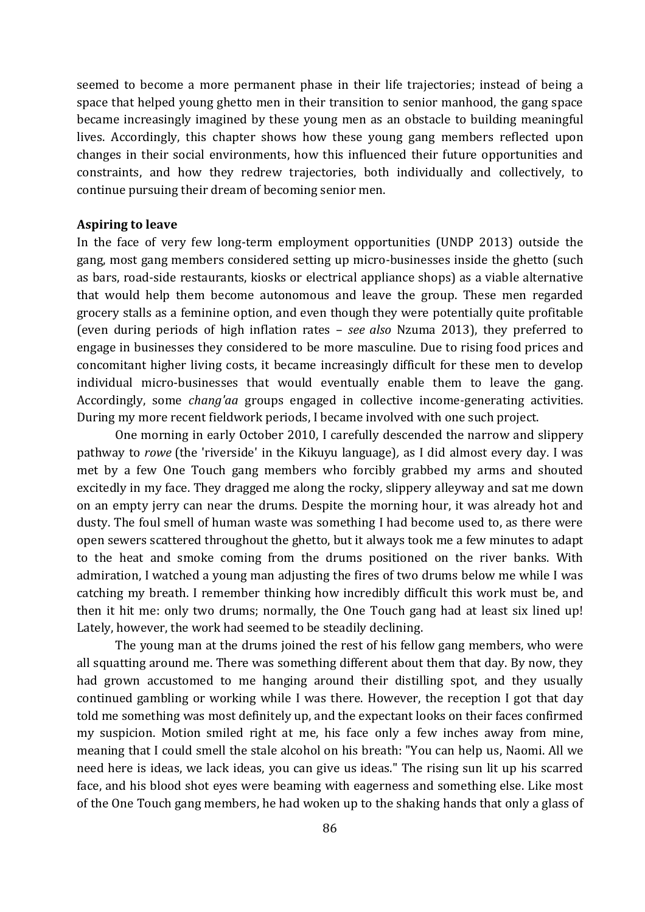seemed to become a more permanent phase in their life trajectories; instead of being a space that helped young ghetto men in their transition to senior manhood, the gang space became increasingly imagined by these young men as an obstacle to building meaningful lives. Accordingly, this chapter shows how these young gang members reflected upon changes in their social environments, how this influenced their future opportunities and constraints, and how they redrew trajectories, both individually and collectively, to continue pursuing their dream of becoming senior men.

#### **Aspiring to leave**

In the face of very few long-term employment opportunities (UNDP 2013) outside the gang, most gang members considered setting up micro-businesses inside the ghetto (such as bars, road-side restaurants, kiosks or electrical appliance shops) as a viable alternative that would help them become autonomous and leave the group. These men regarded grocery stalls as a feminine option, and even though they were potentially quite profitable (even during periods of high inflation rates – *see also* Nzuma 2013), they preferred to engage in businesses they considered to be more masculine. Due to rising food prices and concomitant higher living costs, it became increasingly difficult for these men to develop individual micro-businesses that would eventually enable them to leave the gang. Accordingly, some *chang'aa* groups engaged in collective income-generating activities. During my more recent fieldwork periods, I became involved with one such project.

One morning in early October 2010, I carefully descended the narrow and slippery pathway to *rowe* (the 'riverside' in the Kikuyu language)*,* as I did almost every day. I was met by a few One Touch gang members who forcibly grabbed my arms and shouted excitedly in my face. They dragged me along the rocky, slippery alleyway and sat me down on an empty jerry can near the drums. Despite the morning hour, it was already hot and dusty. The foul smell of human waste was something I had become used to, as there were open sewers scattered throughout the ghetto, but it always took me a few minutes to adapt to the heat and smoke coming from the drums positioned on the river banks. With admiration, I watched a young man adjusting the fires of two drums below me while I was catching my breath. I remember thinking how incredibly difficult this work must be, and then it hit me: only two drums; normally, the One Touch gang had at least six lined up! Lately, however, the work had seemed to be steadily declining.

The young man at the drums joined the rest of his fellow gang members, who were all squatting around me. There was something different about them that day. By now, they had grown accustomed to me hanging around their distilling spot, and they usually continued gambling or working while I was there. However, the reception I got that day told me something was most definitely up, and the expectant looks on their faces confirmed my suspicion. Motion smiled right at me, his face only a few inches away from mine, meaning that I could smell the stale alcohol on his breath: "You can help us, Naomi. All we need here is ideas, we lack ideas, you can give us ideas." The rising sun lit up his scarred face, and his blood shot eyes were beaming with eagerness and something else. Like most of the One Touch gang members, he had woken up to the shaking hands that only a glass of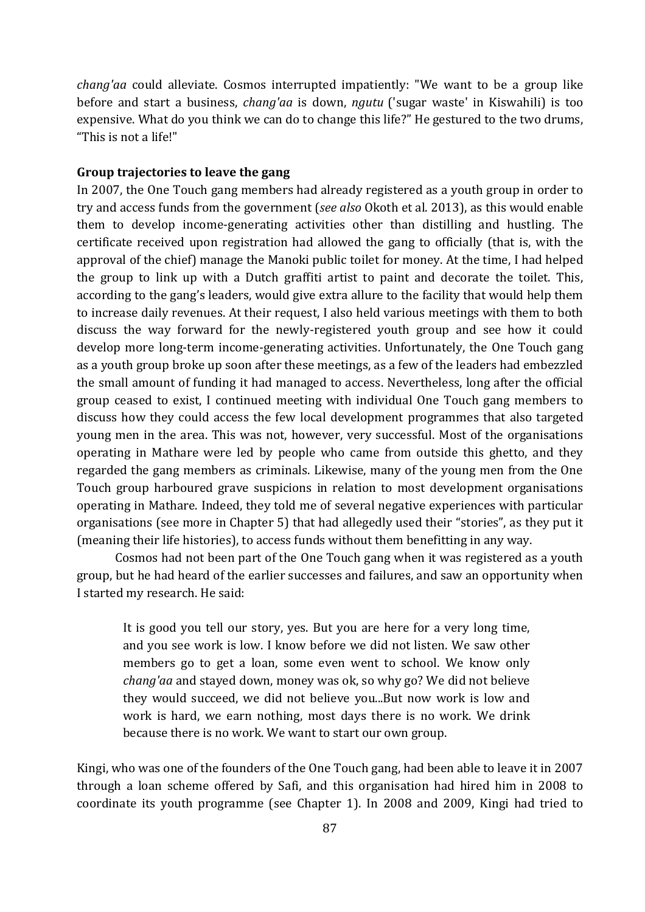*chang'aa* could alleviate. Cosmos interrupted impatiently: "We want to be a group like before and start a business, *chang'aa* is down, *ngutu* ('sugar waste' in Kiswahili) is too expensive. What do you think we can do to change this life?" He gestured to the two drums, "This is not a life!"

#### **Group trajectories to leave the gang**

In 2007, the One Touch gang members had already registered as a youth group in order to try and access funds from the government (*see also* Okoth et al. 2013), as this would enable them to develop income-generating activities other than distilling and hustling. The certificate received upon registration had allowed the gang to officially (that is, with the approval of the chief) manage the Manoki public toilet for money. At the time, I had helped the group to link up with a Dutch graffiti artist to paint and decorate the toilet. This, according to the gang's leaders, would give extra allure to the facility that would help them to increase daily revenues. At their request, I also held various meetings with them to both discuss the way forward for the newly-registered youth group and see how it could develop more long-term income-generating activities. Unfortunately, the One Touch gang as a youth group broke up soon after these meetings, as a few of the leaders had embezzled the small amount of funding it had managed to access. Nevertheless, long after the official group ceased to exist, I continued meeting with individual One Touch gang members to discuss how they could access the few local development programmes that also targeted young men in the area. This was not, however, very successful. Most of the organisations operating in Mathare were led by people who came from outside this ghetto, and they regarded the gang members as criminals. Likewise, many of the young men from the One Touch group harboured grave suspicions in relation to most development organisations operating in Mathare. Indeed, they told me of several negative experiences with particular organisations (see more in Chapter 5) that had allegedly used their "stories", as they put it (meaning their life histories), to access funds without them benefitting in any way.

Cosmos had not been part of the One Touch gang when it was registered as a youth group, but he had heard of the earlier successes and failures, and saw an opportunity when I started my research. He said:

It is good you tell our story, yes. But you are here for a very long time, and you see work is low. I know before we did not listen. We saw other members go to get a loan, some even went to school. We know only *chang'aa* and stayed down, money was ok, so why go? We did not believe they would succeed, we did not believe you...But now work is low and work is hard, we earn nothing, most days there is no work. We drink because there is no work. We want to start our own group.

Kingi, who was one of the founders of the One Touch gang, had been able to leave it in 2007 through a loan scheme offered by Safi, and this organisation had hired him in 2008 to coordinate its youth programme (see Chapter 1). In 2008 and 2009, Kingi had tried to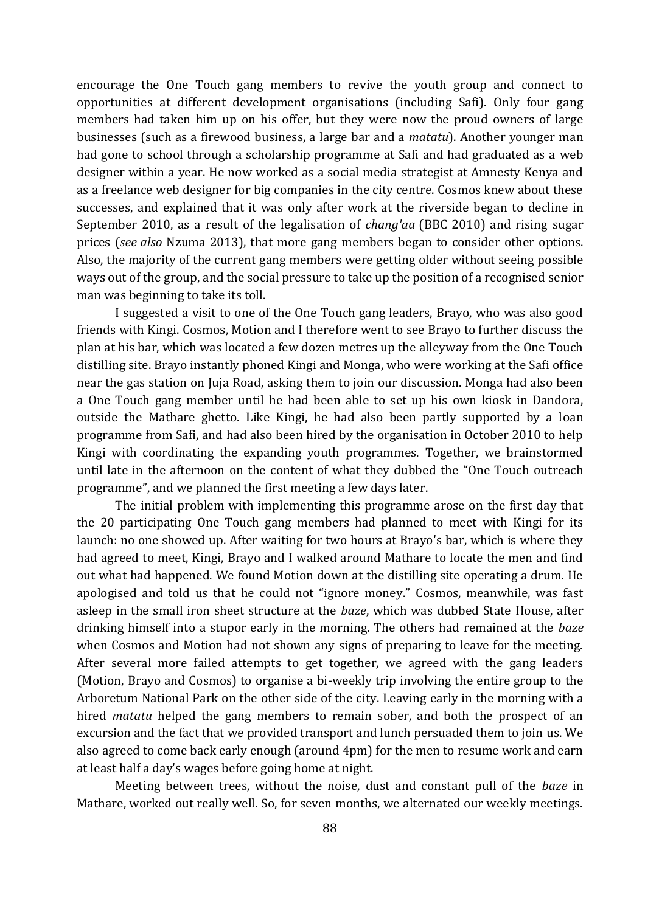encourage the One Touch gang members to revive the youth group and connect to opportunities at different development organisations (including Safi). Only four gang members had taken him up on his offer, but they were now the proud owners of large businesses (such as a firewood business, a large bar and a *matatu*). Another younger man had gone to school through a scholarship programme at Safi and had graduated as a web designer within a year. He now worked as a social media strategist at Amnesty Kenya and as a freelance web designer for big companies in the city centre. Cosmos knew about these successes, and explained that it was only after work at the riverside began to decline in September 2010, as a result of the legalisation of *chang'aa* (BBC 2010) and rising sugar prices (*see also* Nzuma 2013), that more gang members began to consider other options. Also, the majority of the current gang members were getting older without seeing possible ways out of the group, and the social pressure to take up the position of a recognised senior man was beginning to take its toll.

I suggested a visit to one of the One Touch gang leaders, Brayo, who was also good friends with Kingi. Cosmos, Motion and I therefore went to see Brayo to further discuss the plan at his bar, which was located a few dozen metres up the alleyway from the One Touch distilling site. Brayo instantly phoned Kingi and Monga, who were working at the Safi office near the gas station on Juja Road, asking them to join our discussion. Monga had also been a One Touch gang member until he had been able to set up his own kiosk in Dandora, outside the Mathare ghetto. Like Kingi, he had also been partly supported by a loan programme from Safi, and had also been hired by the organisation in October 2010 to help Kingi with coordinating the expanding youth programmes. Together, we brainstormed until late in the afternoon on the content of what they dubbed the "One Touch outreach programme", and we planned the first meeting a few days later.

The initial problem with implementing this programme arose on the first day that the 20 participating One Touch gang members had planned to meet with Kingi for its launch: no one showed up. After waiting for two hours at Brayo's bar, which is where they had agreed to meet, Kingi, Brayo and I walked around Mathare to locate the men and find out what had happened. We found Motion down at the distilling site operating a drum. He apologised and told us that he could not "ignore money." Cosmos, meanwhile, was fast asleep in the small iron sheet structure at the *baze*, which was dubbed State House, after drinking himself into a stupor early in the morning. The others had remained at the *baze* when Cosmos and Motion had not shown any signs of preparing to leave for the meeting. After several more failed attempts to get together, we agreed with the gang leaders (Motion, Brayo and Cosmos) to organise a bi-weekly trip involving the entire group to the Arboretum National Park on the other side of the city. Leaving early in the morning with a hired *matatu* helped the gang members to remain sober, and both the prospect of an excursion and the fact that we provided transport and lunch persuaded them to join us. We also agreed to come back early enough (around 4pm) for the men to resume work and earn at least half a day's wages before going home at night.

Meeting between trees, without the noise, dust and constant pull of the *baze* in Mathare, worked out really well. So, for seven months, we alternated our weekly meetings.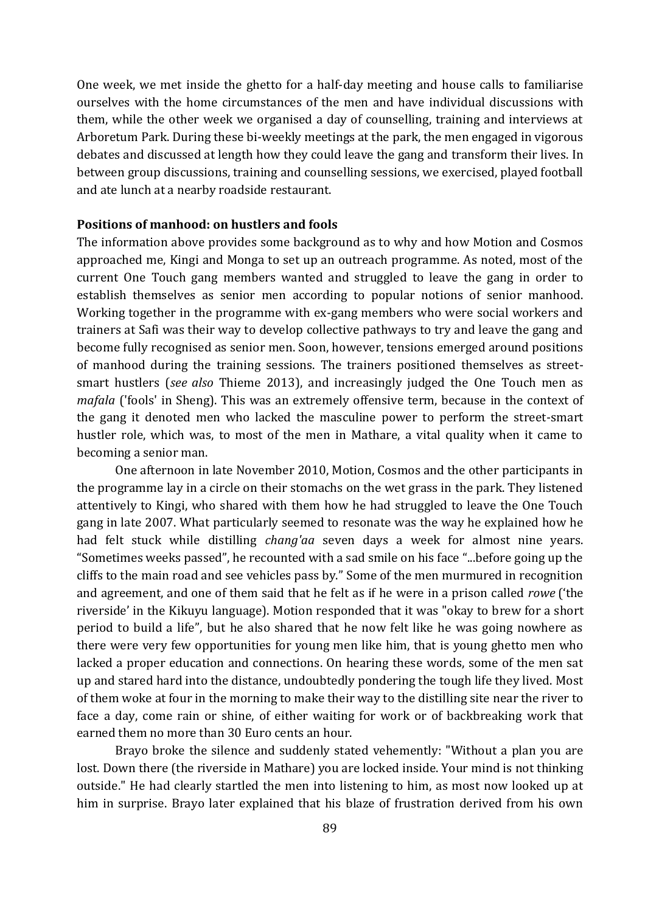One week, we met inside the ghetto for a half-day meeting and house calls to familiarise ourselves with the home circumstances of the men and have individual discussions with them, while the other week we organised a day of counselling, training and interviews at Arboretum Park. During these bi-weekly meetings at the park, the men engaged in vigorous debates and discussed at length how they could leave the gang and transform their lives. In between group discussions, training and counselling sessions, we exercised, played football and ate lunch at a nearby roadside restaurant.

#### **Positions of manhood: on hustlers and fools**

The information above provides some background as to why and how Motion and Cosmos approached me, Kingi and Monga to set up an outreach programme. As noted, most of the current One Touch gang members wanted and struggled to leave the gang in order to establish themselves as senior men according to popular notions of senior manhood. Working together in the programme with ex-gang members who were social workers and trainers at Safi was their way to develop collective pathways to try and leave the gang and become fully recognised as senior men. Soon, however, tensions emerged around positions of manhood during the training sessions. The trainers positioned themselves as streetsmart hustlers (*see also* Thieme 2013), and increasingly judged the One Touch men as *mafala* ('fools' in Sheng). This was an extremely offensive term, because in the context of the gang it denoted men who lacked the masculine power to perform the street-smart hustler role, which was, to most of the men in Mathare, a vital quality when it came to becoming a senior man.

One afternoon in late November 2010, Motion, Cosmos and the other participants in the programme lay in a circle on their stomachs on the wet grass in the park. They listened attentively to Kingi, who shared with them how he had struggled to leave the One Touch gang in late 2007. What particularly seemed to resonate was the way he explained how he had felt stuck while distilling *chang'aa* seven days a week for almost nine years. "Sometimes weeks passed", he recounted with a sad smile on his face "...before going up the cliffs to the main road and see vehicles pass by." Some of the men murmured in recognition and agreement, and one of them said that he felt as if he were in a prison called *rowe* ('the riverside' in the Kikuyu language). Motion responded that it was "okay to brew for a short period to build a life", but he also shared that he now felt like he was going nowhere as there were very few opportunities for young men like him, that is young ghetto men who lacked a proper education and connections. On hearing these words, some of the men sat up and stared hard into the distance, undoubtedly pondering the tough life they lived. Most of them woke at four in the morning to make their way to the distilling site near the river to face a day, come rain or shine, of either waiting for work or of backbreaking work that earned them no more than 30 Euro cents an hour.

Brayo broke the silence and suddenly stated vehemently: "Without a plan you are lost. Down there (the riverside in Mathare) you are locked inside. Your mind is not thinking outside." He had clearly startled the men into listening to him, as most now looked up at him in surprise. Brayo later explained that his blaze of frustration derived from his own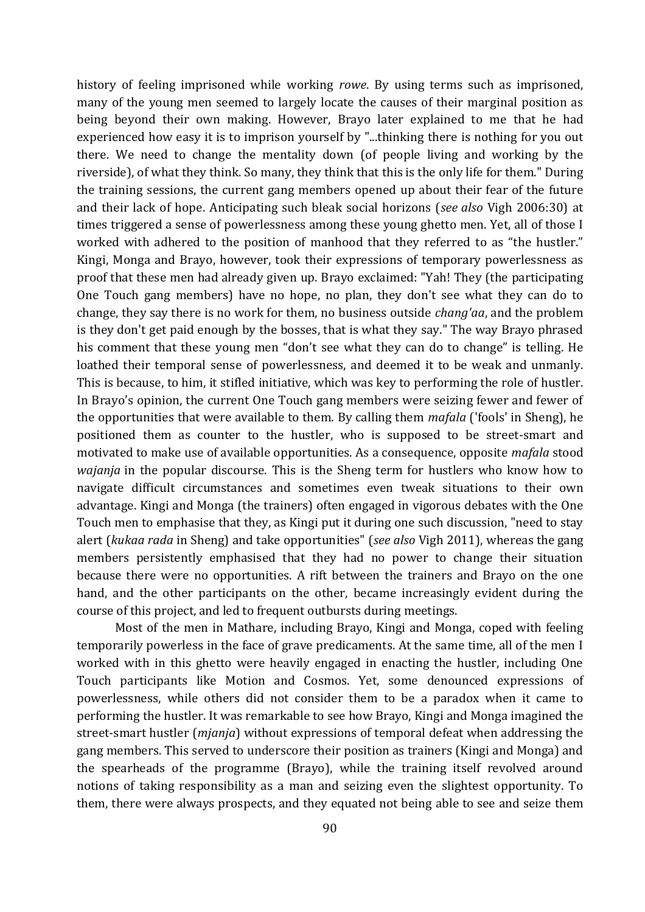history of feeling imprisoned while working *rowe*. By using terms such as imprisoned, many of the young men seemed to largely locate the causes of their marginal position as being beyond their own making. However, Brayo later explained to me that he had experienced how easy it is to imprison yourself by "...thinking there is nothing for you out there. We need to change the mentality down (of people living and working by the riverside), of what they think. So many, they think that this is the only life for them." During the training sessions, the current gang members opened up about their fear of the future and their lack of hope. Anticipating such bleak social horizons (*see also* Vigh 2006:30) at times triggered a sense of powerlessness among these young ghetto men. Yet, all of those I worked with adhered to the position of manhood that they referred to as "the hustler." Kingi, Monga and Brayo, however, took their expressions of temporary powerlessness as proof that these men had already given up. Brayo exclaimed: "Yah! They (the participating One Touch gang members) have no hope, no plan, they don't see what they can do to change, they say there is no work for them, no business outside *chang'aa*, and the problem is they don't get paid enough by the bosses, that is what they say." The way Brayo phrased his comment that these young men "don't see what they can do to change" is telling. He loathed their temporal sense of powerlessness, and deemed it to be weak and unmanly. This is because, to him, it stifled initiative, which was key to performing the role of hustler. In Brayo's opinion, the current One Touch gang members were seizing fewer and fewer of the opportunities that were available to them. By calling them *mafala* ('fools' in Sheng), he positioned them as counter to the hustler, who is supposed to be street-smart and motivated to make use of available opportunities. As a consequence, opposite *mafala* stood *wajanja* in the popular discourse. This is the Sheng term for hustlers who know how to navigate difficult circumstances and sometimes even tweak situations to their own advantage. Kingi and Monga (the trainers) often engaged in vigorous debates with the One Touch men to emphasise that they, as Kingi put it during one such discussion, "need to stay alert (*kukaa rada* in Sheng) and take opportunities" (*see also* Vigh 2011), whereas the gang members persistently emphasised that they had no power to change their situation because there were no opportunities. A rift between the trainers and Brayo on the one hand, and the other participants on the other, became increasingly evident during the course of this project, and led to frequent outbursts during meetings.

Most of the men in Mathare, including Brayo, Kingi and Monga, coped with feeling temporarily powerless in the face of grave predicaments. At the same time, all of the men I worked with in this ghetto were heavily engaged in enacting the hustler, including One Touch participants like Motion and Cosmos. Yet, some denounced expressions of powerlessness, while others did not consider them to be a paradox when it came to performing the hustler. It was remarkable to see how Brayo, Kingi and Monga imagined the street-smart hustler (*mjanja*) without expressions of temporal defeat when addressing the gang members. This served to underscore their position as trainers (Kingi and Monga) and the spearheads of the programme (Brayo), while the training itself revolved around notions of taking responsibility as a man and seizing even the slightest opportunity. To them, there were always prospects, and they equated not being able to see and seize them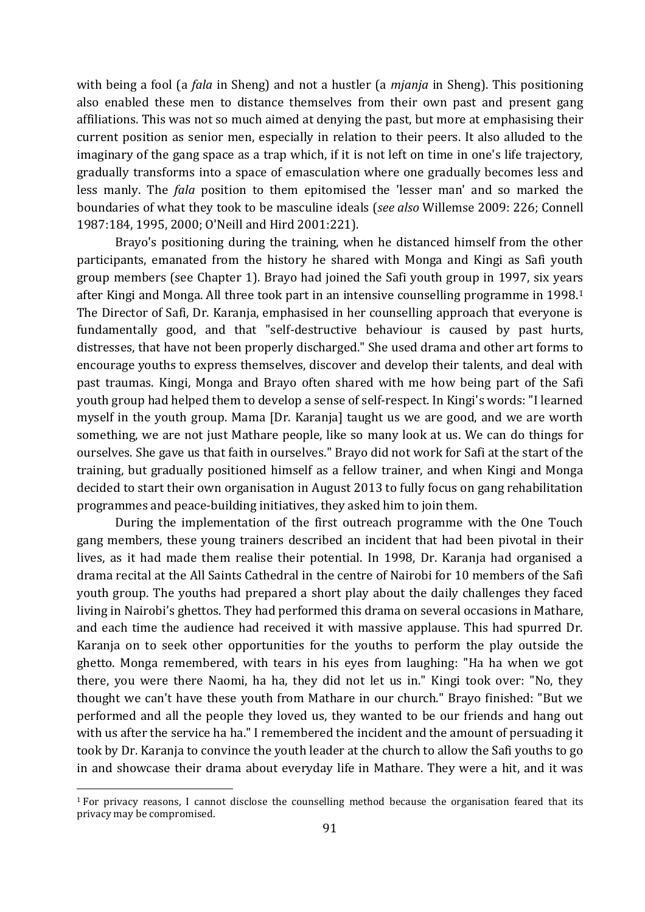with being a fool (a *fala* in Sheng) and not a hustler (a *mjanja* in Sheng). This positioning also enabled these men to distance themselves from their own past and present gang affiliations. This was not so much aimed at denying the past, but more at emphasising their current position as senior men, especially in relation to their peers. It also alluded to the imaginary of the gang space as a trap which, if it is not left on time in one's life trajectory, gradually transforms into a space of emasculation where one gradually becomes less and less manly. The *fala* position to them epitomised the 'lesser man' and so marked the boundaries of what they took to be masculine ideals (*see also* Willemse 2009: 226; Connell 1987:184, 1995, 2000; O'Neill and Hird 2001:221).

Brayo's positioning during the training, when he distanced himself from the other participants, emanated from the history he shared with Monga and Kingi as Safi youth group members (see Chapter 1). Brayo had joined the Safi youth group in 1997, six years after Kingi and Monga. All three took part in an intensive counselling programme in 1998.<sup>1</sup> The Director of Safi, Dr. Karanja, emphasised in her counselling approach that everyone is fundamentally good, and that "self-destructive behaviour is caused by past hurts, distresses, that have not been properly discharged." She used drama and other art forms to encourage youths to express themselves, discover and develop their talents, and deal with past traumas. Kingi, Monga and Brayo often shared with me how being part of the Safi youth group had helped them to develop a sense of self-respect. In Kingi's words: "I learned myself in the youth group. Mama [Dr. Karanja] taught us we are good, and we are worth something, we are not just Mathare people, like so many look at us. We can do things for ourselves. She gave us that faith in ourselves." Brayo did not work for Safi at the start of the training, but gradually positioned himself as a fellow trainer, and when Kingi and Monga decided to start their own organisation in August 2013 to fully focus on gang rehabilitation programmes and peace-building initiatives, they asked him to join them.

During the implementation of the first outreach programme with the One Touch gang members, these young trainers described an incident that had been pivotal in their lives, as it had made them realise their potential. In 1998, Dr. Karanja had organised a drama recital at the All Saints Cathedral in the centre of Nairobi for 10 members of the Safi youth group. The youths had prepared a short play about the daily challenges they faced living in Nairobi's ghettos. They had performed this drama on several occasions in Mathare, and each time the audience had received it with massive applause. This had spurred Dr. Karanja on to seek other opportunities for the youths to perform the play outside the ghetto. Monga remembered, with tears in his eyes from laughing: "Ha ha when we got there, you were there Naomi, ha ha, they did not let us in." Kingi took over: "No, they thought we can't have these youth from Mathare in our church." Brayo finished: "But we performed and all the people they loved us, they wanted to be our friends and hang out with us after the service ha ha." I remembered the incident and the amount of persuading it took by Dr. Karanja to convince the youth leader at the church to allow the Safi youths to go in and showcase their drama about everyday life in Mathare. They were a hit, and it was

 $\overline{\phantom{a}}$ 

<sup>1</sup> For privacy reasons, I cannot disclose the counselling method because the organisation feared that its privacy may be compromised.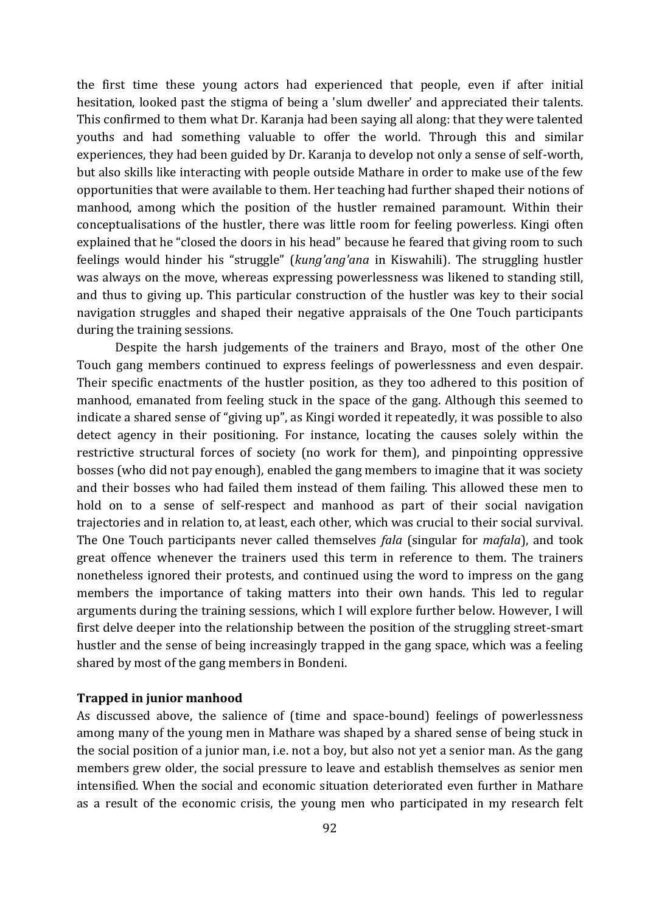the first time these young actors had experienced that people, even if after initial hesitation, looked past the stigma of being a 'slum dweller' and appreciated their talents. This confirmed to them what Dr. Karanja had been saying all along: that they were talented youths and had something valuable to offer the world. Through this and similar experiences, they had been guided by Dr. Karanja to develop not only a sense of self-worth, but also skills like interacting with people outside Mathare in order to make use of the few opportunities that were available to them. Her teaching had further shaped their notions of manhood, among which the position of the hustler remained paramount. Within their conceptualisations of the hustler, there was little room for feeling powerless. Kingi often explained that he "closed the doors in his head" because he feared that giving room to such feelings would hinder his "struggle" (*kung'ang'ana* in Kiswahili). The struggling hustler was always on the move, whereas expressing powerlessness was likened to standing still, and thus to giving up. This particular construction of the hustler was key to their social navigation struggles and shaped their negative appraisals of the One Touch participants during the training sessions.

Despite the harsh judgements of the trainers and Brayo, most of the other One Touch gang members continued to express feelings of powerlessness and even despair. Their specific enactments of the hustler position, as they too adhered to this position of manhood, emanated from feeling stuck in the space of the gang. Although this seemed to indicate a shared sense of "giving up", as Kingi worded it repeatedly, it was possible to also detect agency in their positioning. For instance, locating the causes solely within the restrictive structural forces of society (no work for them), and pinpointing oppressive bosses (who did not pay enough), enabled the gang members to imagine that it was society and their bosses who had failed them instead of them failing. This allowed these men to hold on to a sense of self-respect and manhood as part of their social navigation trajectories and in relation to, at least, each other, which was crucial to their social survival. The One Touch participants never called themselves *fala* (singular for *mafala*), and took great offence whenever the trainers used this term in reference to them. The trainers nonetheless ignored their protests, and continued using the word to impress on the gang members the importance of taking matters into their own hands. This led to regular arguments during the training sessions, which I will explore further below. However, I will first delve deeper into the relationship between the position of the struggling street-smart hustler and the sense of being increasingly trapped in the gang space, which was a feeling shared by most of the gang members in Bondeni.

#### **Trapped in junior manhood**

As discussed above, the salience of (time and space-bound) feelings of powerlessness among many of the young men in Mathare was shaped by a shared sense of being stuck in the social position of a junior man, i.e. not a boy, but also not yet a senior man. As the gang members grew older, the social pressure to leave and establish themselves as senior men intensified. When the social and economic situation deteriorated even further in Mathare as a result of the economic crisis, the young men who participated in my research felt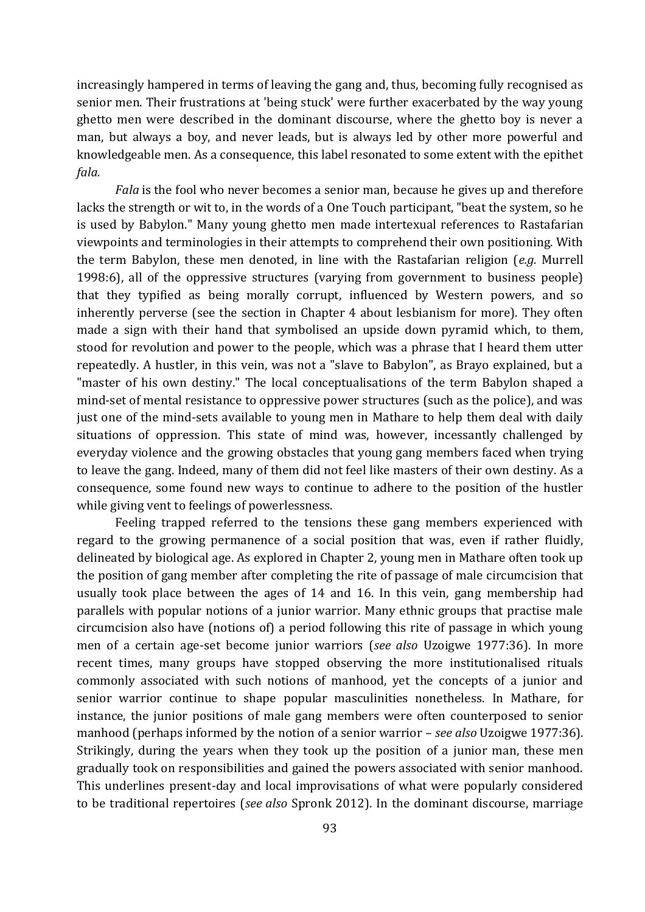increasingly hampered in terms of leaving the gang and, thus, becoming fully recognised as senior men. Their frustrations at 'being stuck' were further exacerbated by the way young ghetto men were described in the dominant discourse, where the ghetto boy is never a man, but always a boy, and never leads, but is always led by other more powerful and knowledgeable men. As a consequence, this label resonated to some extent with the epithet *fala.*

*Fala* is the fool who never becomes a senior man, because he gives up and therefore lacks the strength or wit to, in the words of a One Touch participant, "beat the system, so he is used by Babylon." Many young ghetto men made intertexual references to Rastafarian viewpoints and terminologies in their attempts to comprehend their own positioning. With the term Babylon, these men denoted, in line with the Rastafarian religion (*e.g.* Murrell 1998:6), all of the oppressive structures (varying from government to business people) that they typified as being morally corrupt, influenced by Western powers, and so inherently perverse (see the section in Chapter 4 about lesbianism for more). They often made a sign with their hand that symbolised an upside down pyramid which, to them, stood for revolution and power to the people, which was a phrase that I heard them utter repeatedly. A hustler, in this vein, was not a "slave to Babylon", as Brayo explained, but a "master of his own destiny." The local conceptualisations of the term Babylon shaped a mind-set of mental resistance to oppressive power structures (such as the police), and was just one of the mind-sets available to young men in Mathare to help them deal with daily situations of oppression. This state of mind was, however, incessantly challenged by everyday violence and the growing obstacles that young gang members faced when trying to leave the gang. Indeed, many of them did not feel like masters of their own destiny. As a consequence, some found new ways to continue to adhere to the position of the hustler while giving vent to feelings of powerlessness.

Feeling trapped referred to the tensions these gang members experienced with regard to the growing permanence of a social position that was, even if rather fluidly, delineated by biological age. As explored in Chapter 2, young men in Mathare often took up the position of gang member after completing the rite of passage of male circumcision that usually took place between the ages of 14 and 16. In this vein, gang membership had parallels with popular notions of a junior warrior. Many ethnic groups that practise male circumcision also have (notions of) a period following this rite of passage in which young men of a certain age-set become junior warriors (*see also* Uzoigwe 1977:36). In more recent times, many groups have stopped observing the more institutionalised rituals commonly associated with such notions of manhood, yet the concepts of a junior and senior warrior continue to shape popular masculinities nonetheless. In Mathare, for instance, the junior positions of male gang members were often counterposed to senior manhood (perhaps informed by the notion of a senior warrior – *see also* Uzoigwe 1977:36). Strikingly, during the years when they took up the position of a junior man, these men gradually took on responsibilities and gained the powers associated with senior manhood. This underlines present-day and local improvisations of what were popularly considered to be traditional repertoires (*see also* Spronk 2012). In the dominant discourse, marriage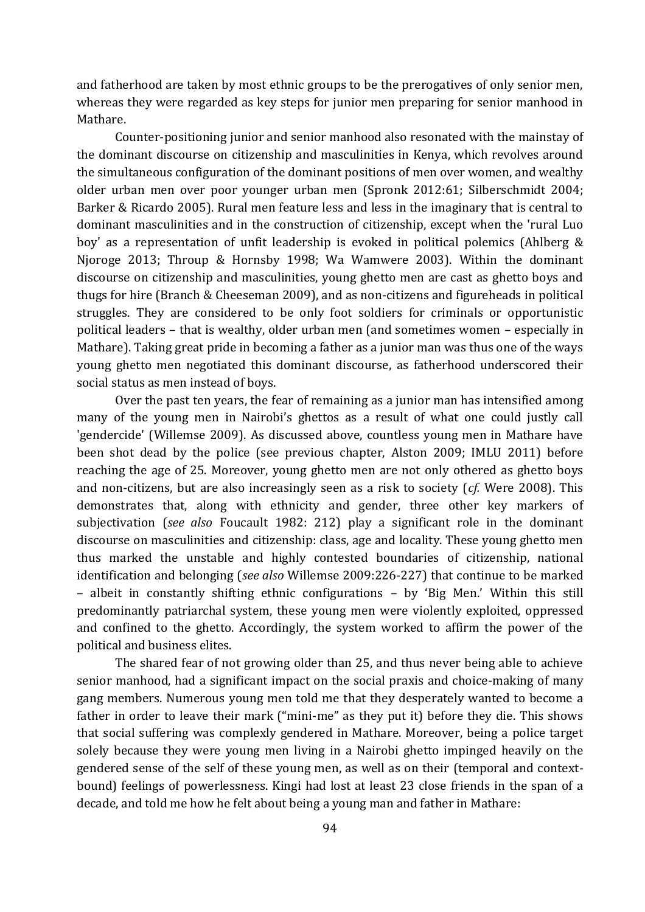and fatherhood are taken by most ethnic groups to be the prerogatives of only senior men, whereas they were regarded as key steps for junior men preparing for senior manhood in Mathare.

Counter-positioning junior and senior manhood also resonated with the mainstay of the dominant discourse on citizenship and masculinities in Kenya, which revolves around the simultaneous configuration of the dominant positions of men over women, and wealthy older urban men over poor younger urban men (Spronk 2012:61; Silberschmidt 2004; Barker & Ricardo 2005). Rural men feature less and less in the imaginary that is central to dominant masculinities and in the construction of citizenship, except when the 'rural Luo boy' as a representation of unfit leadership is evoked in political polemics (Ahlberg & Njoroge 2013; Throup & Hornsby 1998; Wa Wamwere 2003). Within the dominant discourse on citizenship and masculinities, young ghetto men are cast as ghetto boys and thugs for hire (Branch & Cheeseman 2009), and as non-citizens and figureheads in political struggles. They are considered to be only foot soldiers for criminals or opportunistic political leaders – that is wealthy, older urban men (and sometimes women – especially in Mathare). Taking great pride in becoming a father as a junior man was thus one of the ways young ghetto men negotiated this dominant discourse, as fatherhood underscored their social status as men instead of boys.

Over the past ten years, the fear of remaining as a junior man has intensified among many of the young men in Nairobi's ghettos as a result of what one could justly call 'gendercide' (Willemse 2009). As discussed above, countless young men in Mathare have been shot dead by the police (see previous chapter, Alston 2009; IMLU 2011) before reaching the age of 25. Moreover, young ghetto men are not only othered as ghetto boys and non-citizens, but are also increasingly seen as a risk to society (*cf.* Were 2008). This demonstrates that, along with ethnicity and gender, three other key markers of subjectivation (*see also* Foucault 1982: 212) play a significant role in the dominant discourse on masculinities and citizenship: class, age and locality. These young ghetto men thus marked the unstable and highly contested boundaries of citizenship, national identification and belonging (*see also* Willemse 2009:226-227) that continue to be marked – albeit in constantly shifting ethnic configurations – by 'Big Men.' Within this still predominantly patriarchal system, these young men were violently exploited, oppressed and confined to the ghetto. Accordingly, the system worked to affirm the power of the political and business elites.

The shared fear of not growing older than 25, and thus never being able to achieve senior manhood, had a significant impact on the social praxis and choice-making of many gang members. Numerous young men told me that they desperately wanted to become a father in order to leave their mark ("mini-me" as they put it) before they die. This shows that social suffering was complexly gendered in Mathare. Moreover, being a police target solely because they were young men living in a Nairobi ghetto impinged heavily on the gendered sense of the self of these young men, as well as on their (temporal and contextbound) feelings of powerlessness. Kingi had lost at least 23 close friends in the span of a decade, and told me how he felt about being a young man and father in Mathare: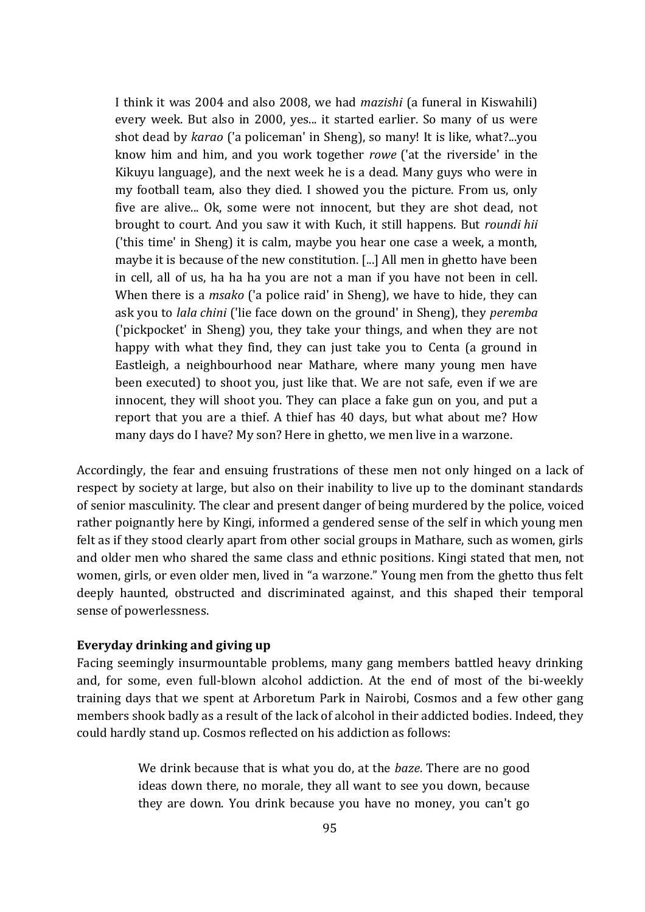I think it was 2004 and also 2008, we had *mazishi* (a funeral in Kiswahili) every week. But also in 2000, yes... it started earlier. So many of us were shot dead by *karao* ('a policeman' in Sheng), so many! It is like, what?...you know him and him, and you work together *rowe* ('at the riverside' in the Kikuyu language), and the next week he is a dead. Many guys who were in my football team, also they died. I showed you the picture. From us, only five are alive... Ok, some were not innocent, but they are shot dead, not brought to court. And you saw it with Kuch, it still happens. But *roundi hii* ('this time' in Sheng) it is calm, maybe you hear one case a week, a month, maybe it is because of the new constitution. [...] All men in ghetto have been in cell, all of us, ha ha ha you are not a man if you have not been in cell. When there is a *msako* ('a police raid' in Sheng), we have to hide, they can ask you to *lala chini* ('lie face down on the ground' in Sheng), they *peremba* ('pickpocket' in Sheng) you, they take your things, and when they are not happy with what they find, they can just take you to Centa (a ground in Eastleigh, a neighbourhood near Mathare, where many young men have been executed) to shoot you, just like that. We are not safe, even if we are innocent, they will shoot you. They can place a fake gun on you, and put a report that you are a thief. A thief has 40 days, but what about me? How many days do I have? My son? Here in ghetto, we men live in a warzone.

Accordingly, the fear and ensuing frustrations of these men not only hinged on a lack of respect by society at large, but also on their inability to live up to the dominant standards of senior masculinity. The clear and present danger of being murdered by the police, voiced rather poignantly here by Kingi, informed a gendered sense of the self in which young men felt as if they stood clearly apart from other social groups in Mathare, such as women, girls and older men who shared the same class and ethnic positions. Kingi stated that men, not women, girls, or even older men, lived in "a warzone." Young men from the ghetto thus felt deeply haunted, obstructed and discriminated against, and this shaped their temporal sense of powerlessness.

## **Everyday drinking and giving up**

Facing seemingly insurmountable problems, many gang members battled heavy drinking and, for some, even full-blown alcohol addiction. At the end of most of the bi-weekly training days that we spent at Arboretum Park in Nairobi, Cosmos and a few other gang members shook badly as a result of the lack of alcohol in their addicted bodies. Indeed, they could hardly stand up. Cosmos reflected on his addiction as follows:

> We drink because that is what you do, at the *baze*. There are no good ideas down there, no morale, they all want to see you down, because they are down. You drink because you have no money, you can't go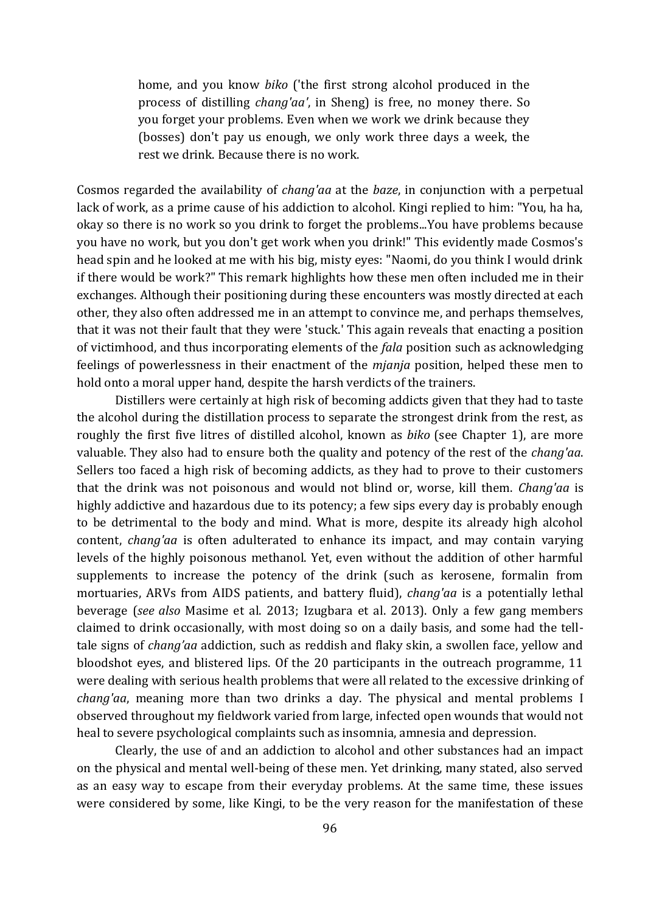home, and you know *biko* ('the first strong alcohol produced in the process of distilling *chang'aa'*, in Sheng) is free, no money there. So you forget your problems. Even when we work we drink because they (bosses) don't pay us enough, we only work three days a week, the rest we drink. Because there is no work.

Cosmos regarded the availability of *chang'aa* at the *baze*, in conjunction with a perpetual lack of work, as a prime cause of his addiction to alcohol. Kingi replied to him: "You, ha ha, okay so there is no work so you drink to forget the problems...You have problems because you have no work, but you don't get work when you drink!" This evidently made Cosmos's head spin and he looked at me with his big, misty eyes: "Naomi, do you think I would drink if there would be work?" This remark highlights how these men often included me in their exchanges. Although their positioning during these encounters was mostly directed at each other, they also often addressed me in an attempt to convince me, and perhaps themselves, that it was not their fault that they were 'stuck.' This again reveals that enacting a position of victimhood, and thus incorporating elements of the *fala* position such as acknowledging feelings of powerlessness in their enactment of the *mjanja* position, helped these men to hold onto a moral upper hand, despite the harsh verdicts of the trainers.

Distillers were certainly at high risk of becoming addicts given that they had to taste the alcohol during the distillation process to separate the strongest drink from the rest, as roughly the first five litres of distilled alcohol, known as *biko* (see Chapter 1), are more valuable. They also had to ensure both the quality and potency of the rest of the *chang'aa*. Sellers too faced a high risk of becoming addicts, as they had to prove to their customers that the drink was not poisonous and would not blind or, worse, kill them. *Chang'aa* is highly addictive and hazardous due to its potency; a few sips every day is probably enough to be detrimental to the body and mind. What is more, despite its already high alcohol content, *chang'aa* is often adulterated to enhance its impact, and may contain varying levels of the highly poisonous methanol. Yet, even without the addition of other harmful supplements to increase the potency of the drink (such as kerosene, formalin from mortuaries, ARVs from AIDS patients, and battery fluid), *chang'aa* is a potentially lethal beverage (*see also* Masime et al. 2013; Izugbara et al. 2013). Only a few gang members claimed to drink occasionally, with most doing so on a daily basis, and some had the telltale signs of *chang'aa* addiction, such as reddish and flaky skin, a swollen face, yellow and bloodshot eyes, and blistered lips. Of the 20 participants in the outreach programme, 11 were dealing with serious health problems that were all related to the excessive drinking of *chang'aa*, meaning more than two drinks a day. The physical and mental problems I observed throughout my fieldwork varied from large, infected open wounds that would not heal to severe psychological complaints such as insomnia, amnesia and depression.

Clearly, the use of and an addiction to alcohol and other substances had an impact on the physical and mental well-being of these men. Yet drinking, many stated, also served as an easy way to escape from their everyday problems. At the same time, these issues were considered by some, like Kingi, to be the very reason for the manifestation of these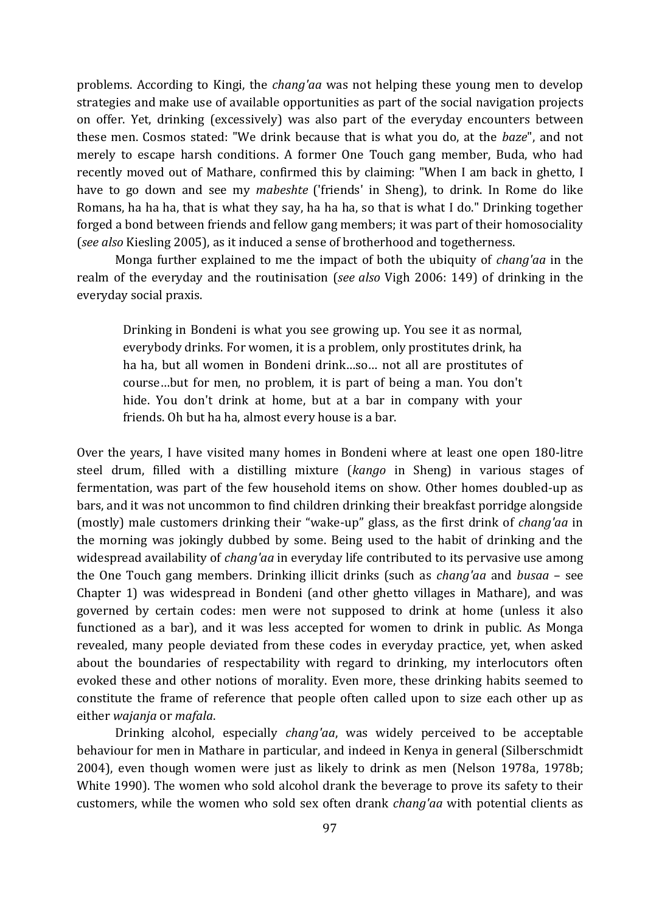problems. According to Kingi, the *chang'aa* was not helping these young men to develop strategies and make use of available opportunities as part of the social navigation projects on offer. Yet, drinking (excessively) was also part of the everyday encounters between these men. Cosmos stated: "We drink because that is what you do, at the *baze*", and not merely to escape harsh conditions. A former One Touch gang member, Buda, who had recently moved out of Mathare, confirmed this by claiming: "When I am back in ghetto, I have to go down and see my *mabeshte* ('friends' in Sheng), to drink. In Rome do like Romans, ha ha ha, that is what they say, ha ha ha, so that is what I do." Drinking together forged a bond between friends and fellow gang members; it was part of their homosociality (*see also* Kiesling 2005), as it induced a sense of brotherhood and togetherness.

Monga further explained to me the impact of both the ubiquity of *chang'aa* in the realm of the everyday and the routinisation (*see also* Vigh 2006: 149) of drinking in the everyday social praxis.

Drinking in Bondeni is what you see growing up. You see it as normal, everybody drinks. For women, it is a problem, only prostitutes drink, ha ha ha, but all women in Bondeni drink…so… not all are prostitutes of course…but for men, no problem, it is part of being a man. You don't hide. You don't drink at home, but at a bar in company with your friends. Oh but ha ha, almost every house is a bar.

Over the years, I have visited many homes in Bondeni where at least one open 180-litre steel drum, filled with a distilling mixture (*kango* in Sheng) in various stages of fermentation, was part of the few household items on show. Other homes doubled-up as bars, and it was not uncommon to find children drinking their breakfast porridge alongside (mostly) male customers drinking their "wake-up" glass, as the first drink of *chang'aa* in the morning was jokingly dubbed by some. Being used to the habit of drinking and the widespread availability of *chang'aa* in everyday life contributed to its pervasive use among the One Touch gang members. Drinking illicit drinks (such as *chang'aa* and *busaa* – see Chapter 1) was widespread in Bondeni (and other ghetto villages in Mathare), and was governed by certain codes: men were not supposed to drink at home (unless it also functioned as a bar), and it was less accepted for women to drink in public. As Monga revealed, many people deviated from these codes in everyday practice, yet, when asked about the boundaries of respectability with regard to drinking, my interlocutors often evoked these and other notions of morality. Even more, these drinking habits seemed to constitute the frame of reference that people often called upon to size each other up as either *wajanja* or *mafala*.

Drinking alcohol, especially *chang'aa*, was widely perceived to be acceptable behaviour for men in Mathare in particular, and indeed in Kenya in general (Silberschmidt 2004), even though women were just as likely to drink as men (Nelson 1978a, 1978b; White 1990). The women who sold alcohol drank the beverage to prove its safety to their customers, while the women who sold sex often drank *chang'aa* with potential clients as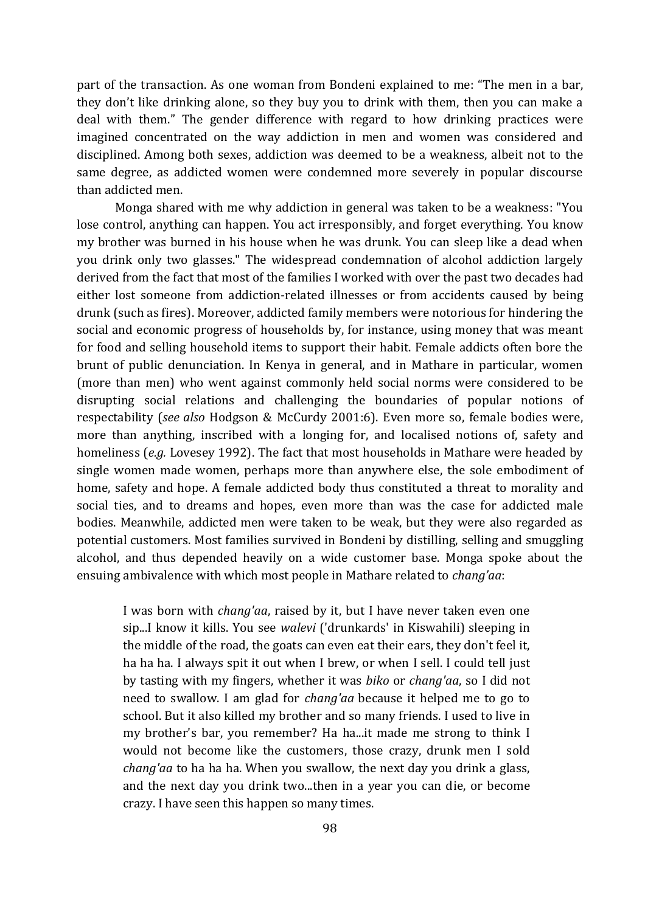part of the transaction. As one woman from Bondeni explained to me: "The men in a bar, they don't like drinking alone, so they buy you to drink with them, then you can make a deal with them." The gender difference with regard to how drinking practices were imagined concentrated on the way addiction in men and women was considered and disciplined. Among both sexes, addiction was deemed to be a weakness, albeit not to the same degree, as addicted women were condemned more severely in popular discourse than addicted men.

Monga shared with me why addiction in general was taken to be a weakness: "You lose control, anything can happen. You act irresponsibly, and forget everything. You know my brother was burned in his house when he was drunk. You can sleep like a dead when you drink only two glasses." The widespread condemnation of alcohol addiction largely derived from the fact that most of the families I worked with over the past two decades had either lost someone from addiction-related illnesses or from accidents caused by being drunk (such as fires). Moreover, addicted family members were notorious for hindering the social and economic progress of households by, for instance, using money that was meant for food and selling household items to support their habit. Female addicts often bore the brunt of public denunciation. In Kenya in general, and in Mathare in particular, women (more than men) who went against commonly held social norms were considered to be disrupting social relations and challenging the boundaries of popular notions of respectability (*see also* Hodgson & McCurdy 2001:6). Even more so, female bodies were, more than anything, inscribed with a longing for, and localised notions of, safety and homeliness (*e.g.* Lovesey 1992). The fact that most households in Mathare were headed by single women made women, perhaps more than anywhere else, the sole embodiment of home, safety and hope. A female addicted body thus constituted a threat to morality and social ties, and to dreams and hopes, even more than was the case for addicted male bodies. Meanwhile, addicted men were taken to be weak, but they were also regarded as potential customers. Most families survived in Bondeni by distilling, selling and smuggling alcohol, and thus depended heavily on a wide customer base. Monga spoke about the ensuing ambivalence with which most people in Mathare related to *chang'aa*:

I was born with *chang'aa*, raised by it, but I have never taken even one sip...I know it kills. You see *walevi* ('drunkards' in Kiswahili) sleeping in the middle of the road, the goats can even eat their ears, they don't feel it, ha ha ha. I always spit it out when I brew, or when I sell. I could tell just by tasting with my fingers, whether it was *biko* or *chang'aa*, so I did not need to swallow. I am glad for *chang'aa* because it helped me to go to school. But it also killed my brother and so many friends. I used to live in my brother's bar, you remember? Ha ha...it made me strong to think I would not become like the customers, those crazy, drunk men I sold *chang'aa* to ha ha ha. When you swallow, the next day you drink a glass, and the next day you drink two...then in a year you can die, or become crazy. I have seen this happen so many times.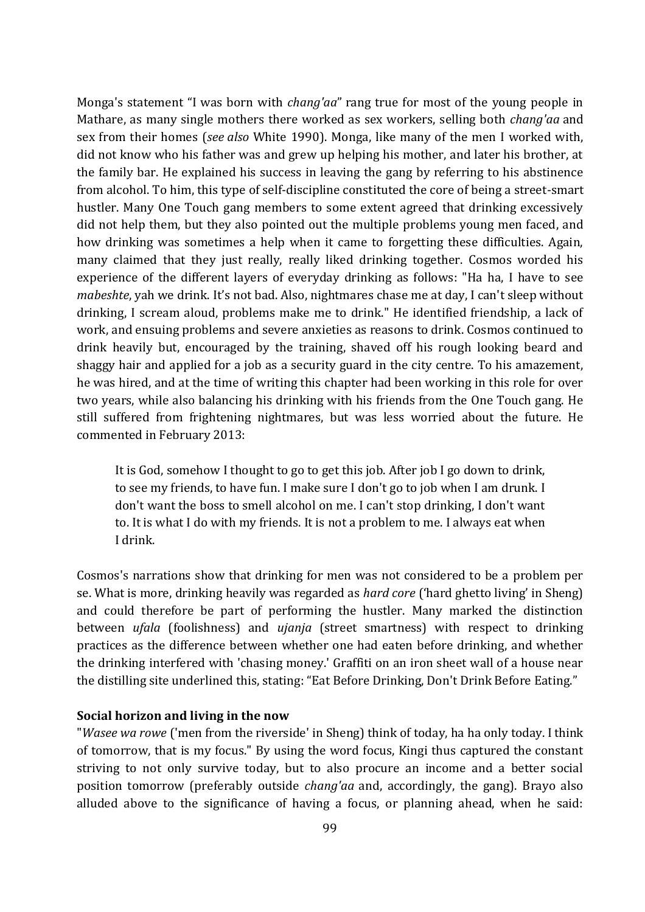Monga's statement "I was born with *chang'aa*" rang true for most of the young people in Mathare, as many single mothers there worked as sex workers, selling both *chang'aa* and sex from their homes (*see also* White 1990). Monga, like many of the men I worked with, did not know who his father was and grew up helping his mother, and later his brother, at the family bar. He explained his success in leaving the gang by referring to his abstinence from alcohol. To him, this type of self-discipline constituted the core of being a street-smart hustler. Many One Touch gang members to some extent agreed that drinking excessively did not help them, but they also pointed out the multiple problems young men faced, and how drinking was sometimes a help when it came to forgetting these difficulties. Again, many claimed that they just really, really liked drinking together. Cosmos worded his experience of the different layers of everyday drinking as follows: "Ha ha, I have to see *mabeshte*, yah we drink. It's not bad. Also, nightmares chase me at day, I can't sleep without drinking, I scream aloud, problems make me to drink." He identified friendship, a lack of work, and ensuing problems and severe anxieties as reasons to drink. Cosmos continued to drink heavily but, encouraged by the training, shaved off his rough looking beard and shaggy hair and applied for a job as a security guard in the city centre. To his amazement, he was hired, and at the time of writing this chapter had been working in this role for over two years, while also balancing his drinking with his friends from the One Touch gang. He still suffered from frightening nightmares, but was less worried about the future. He commented in February 2013:

It is God, somehow I thought to go to get this job. After job I go down to drink, to see my friends, to have fun. I make sure I don't go to job when I am drunk. I don't want the boss to smell alcohol on me. I can't stop drinking, I don't want to. It is what I do with my friends. It is not a problem to me. I always eat when I drink.

Cosmos's narrations show that drinking for men was not considered to be a problem per se. What is more, drinking heavily was regarded as *hard core* ('hard ghetto living' in Sheng) and could therefore be part of performing the hustler. Many marked the distinction between *ufala* (foolishness) and *ujanja* (street smartness) with respect to drinking practices as the difference between whether one had eaten before drinking, and whether the drinking interfered with 'chasing money.' Graffiti on an iron sheet wall of a house near the distilling site underlined this, stating: "Eat Before Drinking, Don't Drink Before Eating."

#### **Social horizon and living in the now**

"*Wasee wa rowe* ('men from the riverside' in Sheng) think of today, ha ha only today. I think of tomorrow, that is my focus." By using the word focus, Kingi thus captured the constant striving to not only survive today, but to also procure an income and a better social position tomorrow (preferably outside *chang'aa* and, accordingly, the gang). Brayo also alluded above to the significance of having a focus, or planning ahead, when he said: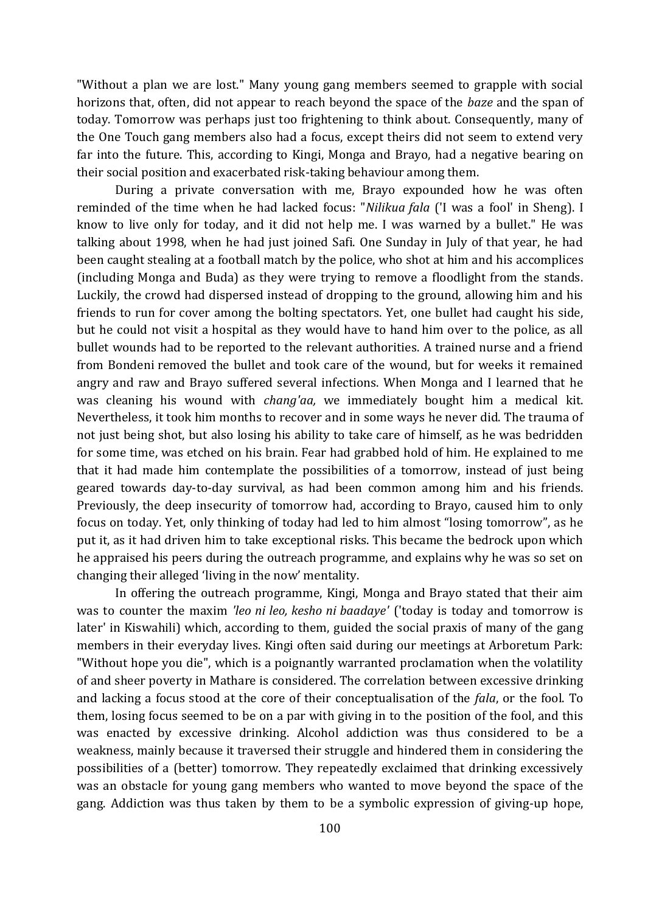"Without a plan we are lost." Many young gang members seemed to grapple with social horizons that, often, did not appear to reach beyond the space of the *baze* and the span of today. Tomorrow was perhaps just too frightening to think about. Consequently, many of the One Touch gang members also had a focus, except theirs did not seem to extend very far into the future. This, according to Kingi, Monga and Brayo, had a negative bearing on their social position and exacerbated risk-taking behaviour among them.

During a private conversation with me, Brayo expounded how he was often reminded of the time when he had lacked focus: "*Nilikua fala* ('I was a fool' in Sheng). I know to live only for today, and it did not help me. I was warned by a bullet." He was talking about 1998, when he had just joined Safi. One Sunday in July of that year, he had been caught stealing at a football match by the police, who shot at him and his accomplices (including Monga and Buda) as they were trying to remove a floodlight from the stands. Luckily, the crowd had dispersed instead of dropping to the ground, allowing him and his friends to run for cover among the bolting spectators. Yet, one bullet had caught his side, but he could not visit a hospital as they would have to hand him over to the police, as all bullet wounds had to be reported to the relevant authorities. A trained nurse and a friend from Bondeni removed the bullet and took care of the wound, but for weeks it remained angry and raw and Brayo suffered several infections. When Monga and I learned that he was cleaning his wound with *chang'aa,* we immediately bought him a medical kit. Nevertheless, it took him months to recover and in some ways he never did. The trauma of not just being shot, but also losing his ability to take care of himself, as he was bedridden for some time, was etched on his brain. Fear had grabbed hold of him. He explained to me that it had made him contemplate the possibilities of a tomorrow, instead of just being geared towards day-to-day survival, as had been common among him and his friends. Previously, the deep insecurity of tomorrow had, according to Brayo, caused him to only focus on today. Yet, only thinking of today had led to him almost "losing tomorrow", as he put it, as it had driven him to take exceptional risks. This became the bedrock upon which he appraised his peers during the outreach programme, and explains why he was so set on changing their alleged 'living in the now' mentality.

In offering the outreach programme, Kingi, Monga and Brayo stated that their aim was to counter the maxim *'leo ni leo, kesho ni baadaye'* ('today is today and tomorrow is later' in Kiswahili) which, according to them, guided the social praxis of many of the gang members in their everyday lives. Kingi often said during our meetings at Arboretum Park: "Without hope you die", which is a poignantly warranted proclamation when the volatility of and sheer poverty in Mathare is considered. The correlation between excessive drinking and lacking a focus stood at the core of their conceptualisation of the *fala*, or the fool. To them, losing focus seemed to be on a par with giving in to the position of the fool, and this was enacted by excessive drinking. Alcohol addiction was thus considered to be a weakness, mainly because it traversed their struggle and hindered them in considering the possibilities of a (better) tomorrow. They repeatedly exclaimed that drinking excessively was an obstacle for young gang members who wanted to move beyond the space of the gang. Addiction was thus taken by them to be a symbolic expression of giving-up hope,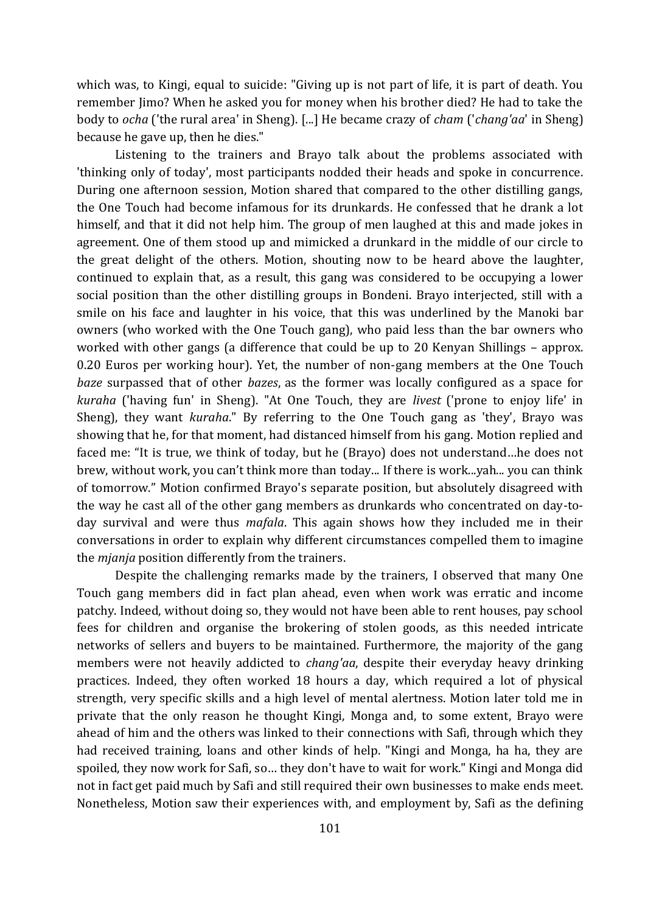which was, to Kingi, equal to suicide: "Giving up is not part of life, it is part of death. You remember Jimo? When he asked you for money when his brother died? He had to take the body to *ocha* ('the rural area' in Sheng). [...] He became crazy of *cham* ('*chang'aa*' in Sheng) because he gave up, then he dies."

Listening to the trainers and Brayo talk about the problems associated with 'thinking only of today', most participants nodded their heads and spoke in concurrence. During one afternoon session, Motion shared that compared to the other distilling gangs, the One Touch had become infamous for its drunkards. He confessed that he drank a lot himself, and that it did not help him. The group of men laughed at this and made jokes in agreement. One of them stood up and mimicked a drunkard in the middle of our circle to the great delight of the others. Motion, shouting now to be heard above the laughter, continued to explain that, as a result, this gang was considered to be occupying a lower social position than the other distilling groups in Bondeni. Brayo interjected, still with a smile on his face and laughter in his voice, that this was underlined by the Manoki bar owners (who worked with the One Touch gang), who paid less than the bar owners who worked with other gangs (a difference that could be up to 20 Kenyan Shillings – approx. 0.20 Euros per working hour). Yet, the number of non-gang members at the One Touch *baze* surpassed that of other *bazes*, as the former was locally configured as a space for *kuraha* ('having fun' in Sheng). "At One Touch, they are *livest* ('prone to enjoy life' in Sheng), they want *kuraha*." By referring to the One Touch gang as 'they', Brayo was showing that he, for that moment, had distanced himself from his gang. Motion replied and faced me: "It is true, we think of today, but he (Brayo) does not understand…he does not brew, without work, you can't think more than today... If there is work...yah... you can think of tomorrow." Motion confirmed Brayo's separate position, but absolutely disagreed with the way he cast all of the other gang members as drunkards who concentrated on day-today survival and were thus *mafala*. This again shows how they included me in their conversations in order to explain why different circumstances compelled them to imagine the *mjanja* position differently from the trainers.

Despite the challenging remarks made by the trainers, I observed that many One Touch gang members did in fact plan ahead, even when work was erratic and income patchy. Indeed, without doing so, they would not have been able to rent houses, pay school fees for children and organise the brokering of stolen goods, as this needed intricate networks of sellers and buyers to be maintained. Furthermore, the majority of the gang members were not heavily addicted to *chang'aa*, despite their everyday heavy drinking practices. Indeed, they often worked 18 hours a day, which required a lot of physical strength, very specific skills and a high level of mental alertness. Motion later told me in private that the only reason he thought Kingi, Monga and, to some extent, Brayo were ahead of him and the others was linked to their connections with Safi, through which they had received training, loans and other kinds of help. "Kingi and Monga, ha ha, they are spoiled, they now work for Safi, so… they don't have to wait for work." Kingi and Monga did not in fact get paid much by Safi and still required their own businesses to make ends meet. Nonetheless, Motion saw their experiences with, and employment by, Safi as the defining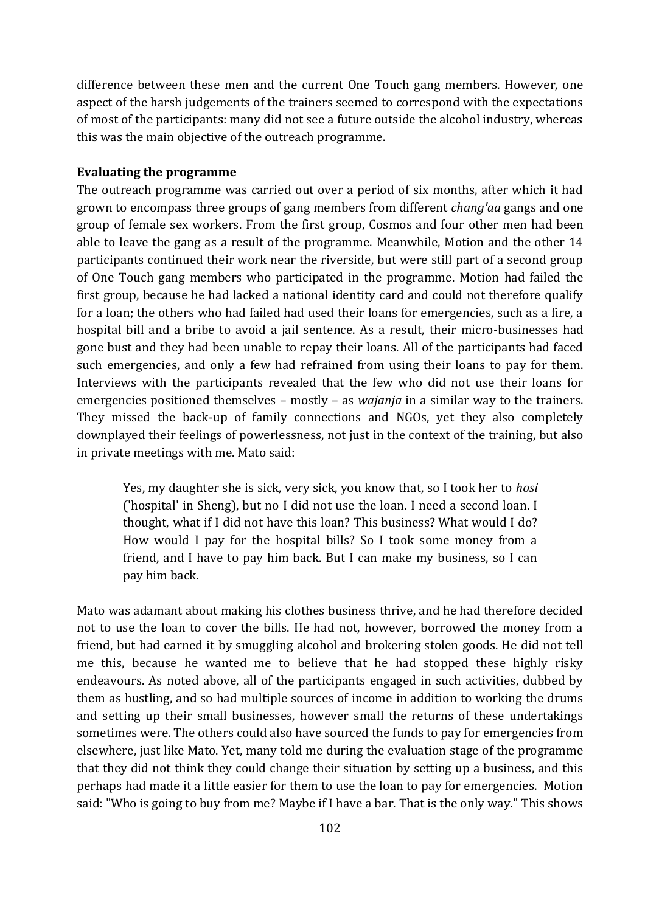difference between these men and the current One Touch gang members. However, one aspect of the harsh judgements of the trainers seemed to correspond with the expectations of most of the participants: many did not see a future outside the alcohol industry, whereas this was the main objective of the outreach programme.

#### **Evaluating the programme**

The outreach programme was carried out over a period of six months, after which it had grown to encompass three groups of gang members from different *chang'aa* gangs and one group of female sex workers. From the first group, Cosmos and four other men had been able to leave the gang as a result of the programme. Meanwhile, Motion and the other 14 participants continued their work near the riverside, but were still part of a second group of One Touch gang members who participated in the programme. Motion had failed the first group, because he had lacked a national identity card and could not therefore qualify for a loan; the others who had failed had used their loans for emergencies, such as a fire, a hospital bill and a bribe to avoid a jail sentence. As a result, their micro-businesses had gone bust and they had been unable to repay their loans. All of the participants had faced such emergencies, and only a few had refrained from using their loans to pay for them. Interviews with the participants revealed that the few who did not use their loans for emergencies positioned themselves – mostly – as *wajanja* in a similar way to the trainers. They missed the back-up of family connections and NGOs, yet they also completely downplayed their feelings of powerlessness, not just in the context of the training, but also in private meetings with me. Mato said:

Yes, my daughter she is sick, very sick, you know that, so I took her to *hosi*  ('hospital' in Sheng), but no I did not use the loan. I need a second loan. I thought, what if I did not have this loan? This business? What would I do? How would I pay for the hospital bills? So I took some money from a friend, and I have to pay him back. But I can make my business, so I can pay him back.

Mato was adamant about making his clothes business thrive, and he had therefore decided not to use the loan to cover the bills. He had not, however, borrowed the money from a friend, but had earned it by smuggling alcohol and brokering stolen goods. He did not tell me this, because he wanted me to believe that he had stopped these highly risky endeavours. As noted above, all of the participants engaged in such activities, dubbed by them as hustling, and so had multiple sources of income in addition to working the drums and setting up their small businesses, however small the returns of these undertakings sometimes were. The others could also have sourced the funds to pay for emergencies from elsewhere, just like Mato. Yet, many told me during the evaluation stage of the programme that they did not think they could change their situation by setting up a business, and this perhaps had made it a little easier for them to use the loan to pay for emergencies. Motion said: "Who is going to buy from me? Maybe if I have a bar. That is the only way." This shows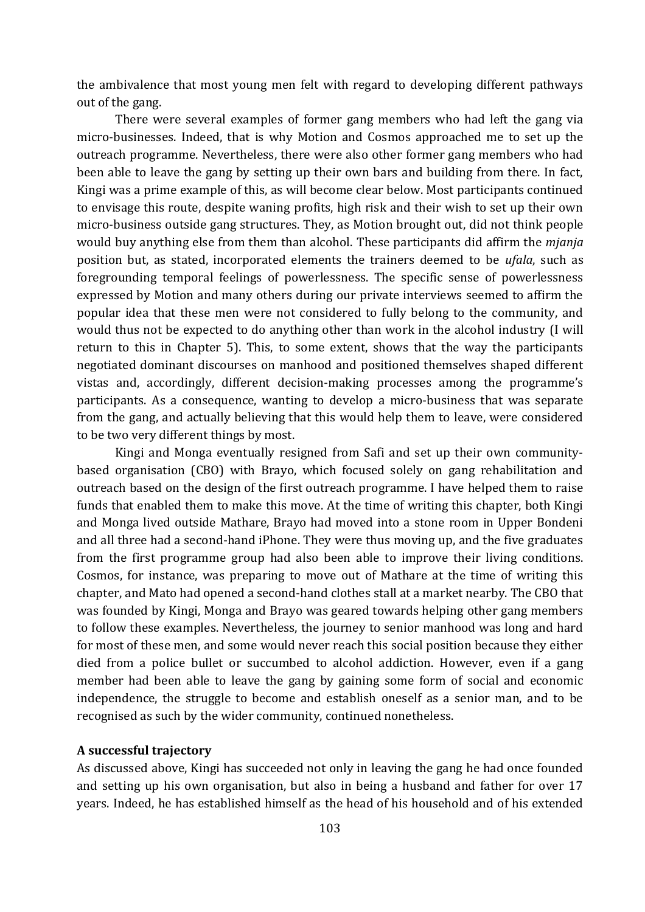the ambivalence that most young men felt with regard to developing different pathways out of the gang.

There were several examples of former gang members who had left the gang via micro-businesses. Indeed, that is why Motion and Cosmos approached me to set up the outreach programme. Nevertheless, there were also other former gang members who had been able to leave the gang by setting up their own bars and building from there. In fact, Kingi was a prime example of this, as will become clear below. Most participants continued to envisage this route, despite waning profits, high risk and their wish to set up their own micro-business outside gang structures. They, as Motion brought out, did not think people would buy anything else from them than alcohol. These participants did affirm the *mjanja* position but, as stated, incorporated elements the trainers deemed to be *ufala*, such as foregrounding temporal feelings of powerlessness. The specific sense of powerlessness expressed by Motion and many others during our private interviews seemed to affirm the popular idea that these men were not considered to fully belong to the community, and would thus not be expected to do anything other than work in the alcohol industry (I will return to this in Chapter 5). This, to some extent, shows that the way the participants negotiated dominant discourses on manhood and positioned themselves shaped different vistas and, accordingly, different decision-making processes among the programme's participants. As a consequence, wanting to develop a micro-business that was separate from the gang, and actually believing that this would help them to leave, were considered to be two very different things by most.

Kingi and Monga eventually resigned from Safi and set up their own communitybased organisation (CBO) with Brayo, which focused solely on gang rehabilitation and outreach based on the design of the first outreach programme. I have helped them to raise funds that enabled them to make this move. At the time of writing this chapter, both Kingi and Monga lived outside Mathare, Brayo had moved into a stone room in Upper Bondeni and all three had a second-hand iPhone. They were thus moving up, and the five graduates from the first programme group had also been able to improve their living conditions. Cosmos, for instance, was preparing to move out of Mathare at the time of writing this chapter, and Mato had opened a second-hand clothes stall at a market nearby. The CBO that was founded by Kingi, Monga and Brayo was geared towards helping other gang members to follow these examples. Nevertheless, the journey to senior manhood was long and hard for most of these men, and some would never reach this social position because they either died from a police bullet or succumbed to alcohol addiction. However, even if a gang member had been able to leave the gang by gaining some form of social and economic independence, the struggle to become and establish oneself as a senior man, and to be recognised as such by the wider community, continued nonetheless.

#### **A successful trajectory**

As discussed above, Kingi has succeeded not only in leaving the gang he had once founded and setting up his own organisation, but also in being a husband and father for over 17 years. Indeed, he has established himself as the head of his household and of his extended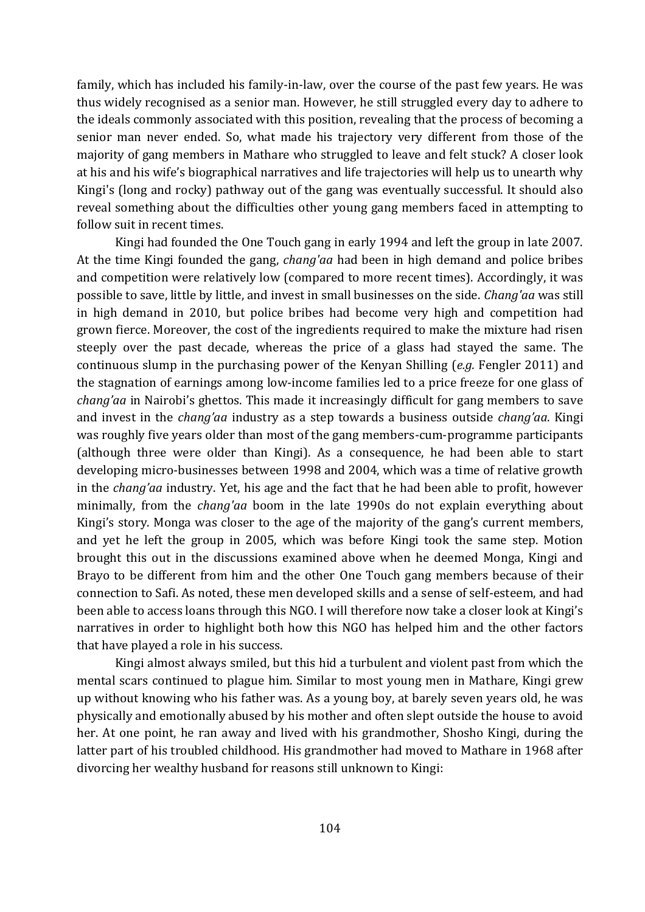family, which has included his family-in-law, over the course of the past few years. He was thus widely recognised as a senior man. However, he still struggled every day to adhere to the ideals commonly associated with this position, revealing that the process of becoming a senior man never ended. So, what made his trajectory very different from those of the majority of gang members in Mathare who struggled to leave and felt stuck? A closer look at his and his wife's biographical narratives and life trajectories will help us to unearth why Kingi's (long and rocky) pathway out of the gang was eventually successful. It should also reveal something about the difficulties other young gang members faced in attempting to follow suit in recent times.

Kingi had founded the One Touch gang in early 1994 and left the group in late 2007. At the time Kingi founded the gang, *chang'aa* had been in high demand and police bribes and competition were relatively low (compared to more recent times). Accordingly, it was possible to save, little by little, and invest in small businesses on the side. *Chang'aa* was still in high demand in 2010, but police bribes had become very high and competition had grown fierce. Moreover, the cost of the ingredients required to make the mixture had risen steeply over the past decade, whereas the price of a glass had stayed the same. The continuous slump in the purchasing power of the Kenyan Shilling (*e.g.* Fengler 2011) and the stagnation of earnings among low-income families led to a price freeze for one glass of *chang'aa* in Nairobi's ghettos. This made it increasingly difficult for gang members to save and invest in the *chang'aa* industry as a step towards a business outside *chang'aa*. Kingi was roughly five years older than most of the gang members-cum-programme participants (although three were older than Kingi). As a consequence, he had been able to start developing micro-businesses between 1998 and 2004, which was a time of relative growth in the *chang'aa* industry. Yet, his age and the fact that he had been able to profit, however minimally, from the *chang'aa* boom in the late 1990s do not explain everything about Kingi's story. Monga was closer to the age of the majority of the gang's current members, and yet he left the group in 2005, which was before Kingi took the same step. Motion brought this out in the discussions examined above when he deemed Monga, Kingi and Brayo to be different from him and the other One Touch gang members because of their connection to Safi. As noted, these men developed skills and a sense of self-esteem, and had been able to access loans through this NGO. I will therefore now take a closer look at Kingi's narratives in order to highlight both how this NGO has helped him and the other factors that have played a role in his success.

Kingi almost always smiled, but this hid a turbulent and violent past from which the mental scars continued to plague him. Similar to most young men in Mathare, Kingi grew up without knowing who his father was. As a young boy, at barely seven years old, he was physically and emotionally abused by his mother and often slept outside the house to avoid her. At one point, he ran away and lived with his grandmother, Shosho Kingi, during the latter part of his troubled childhood. His grandmother had moved to Mathare in 1968 after divorcing her wealthy husband for reasons still unknown to Kingi: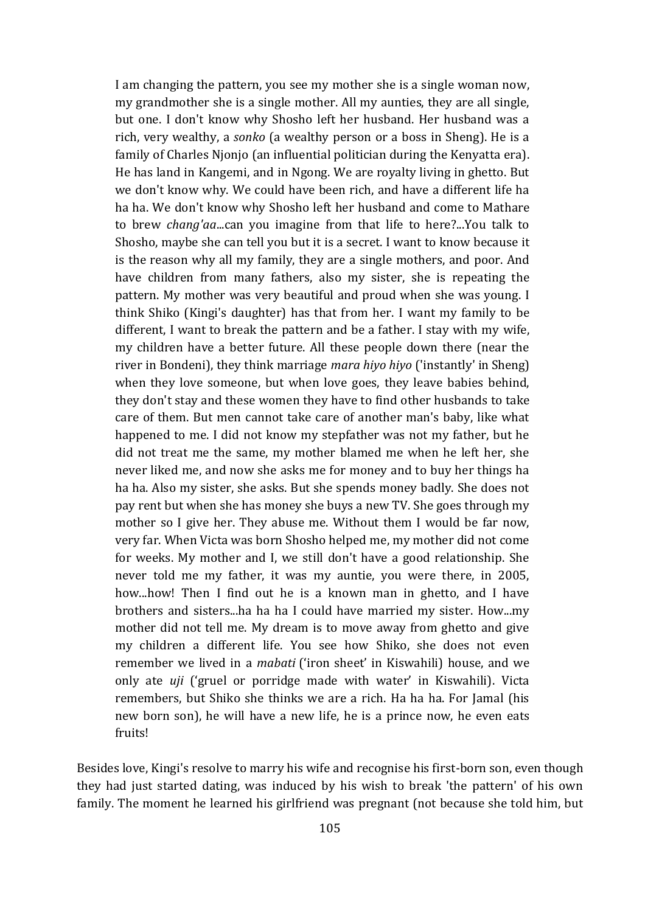I am changing the pattern, you see my mother she is a single woman now, my grandmother she is a single mother. All my aunties, they are all single, but one. I don't know why Shosho left her husband. Her husband was a rich, very wealthy, a *sonko* (a wealthy person or a boss in Sheng). He is a family of Charles Njonjo (an influential politician during the Kenyatta era). He has land in Kangemi, and in Ngong. We are royalty living in ghetto. But we don't know why. We could have been rich, and have a different life ha ha ha. We don't know why Shosho left her husband and come to Mathare to brew *chang'aa*...can you imagine from that life to here?...You talk to Shosho, maybe she can tell you but it is a secret. I want to know because it is the reason why all my family, they are a single mothers, and poor. And have children from many fathers, also my sister, she is repeating the pattern. My mother was very beautiful and proud when she was young. I think Shiko (Kingi's daughter) has that from her. I want my family to be different, I want to break the pattern and be a father. I stay with my wife, my children have a better future. All these people down there (near the river in Bondeni), they think marriage *mara hiyo hiyo* ('instantly' in Sheng) when they love someone, but when love goes, they leave babies behind, they don't stay and these women they have to find other husbands to take care of them. But men cannot take care of another man's baby, like what happened to me. I did not know my stepfather was not my father, but he did not treat me the same, my mother blamed me when he left her, she never liked me, and now she asks me for money and to buy her things ha ha ha. Also my sister, she asks. But she spends money badly. She does not pay rent but when she has money she buys a new TV. She goes through my mother so I give her. They abuse me. Without them I would be far now, very far. When Victa was born Shosho helped me, my mother did not come for weeks. My mother and I, we still don't have a good relationship. She never told me my father, it was my auntie, you were there, in 2005, how...how! Then I find out he is a known man in ghetto, and I have brothers and sisters...ha ha ha I could have married my sister. How...my mother did not tell me. My dream is to move away from ghetto and give my children a different life. You see how Shiko, she does not even remember we lived in a *mabati* ('iron sheet' in Kiswahili) house, and we only ate *uji* ('gruel or porridge made with water' in Kiswahili). Victa remembers, but Shiko she thinks we are a rich. Ha ha ha. For Jamal (his new born son), he will have a new life, he is a prince now, he even eats fruits!

Besides love, Kingi's resolve to marry his wife and recognise his first-born son, even though they had just started dating, was induced by his wish to break 'the pattern' of his own family. The moment he learned his girlfriend was pregnant (not because she told him, but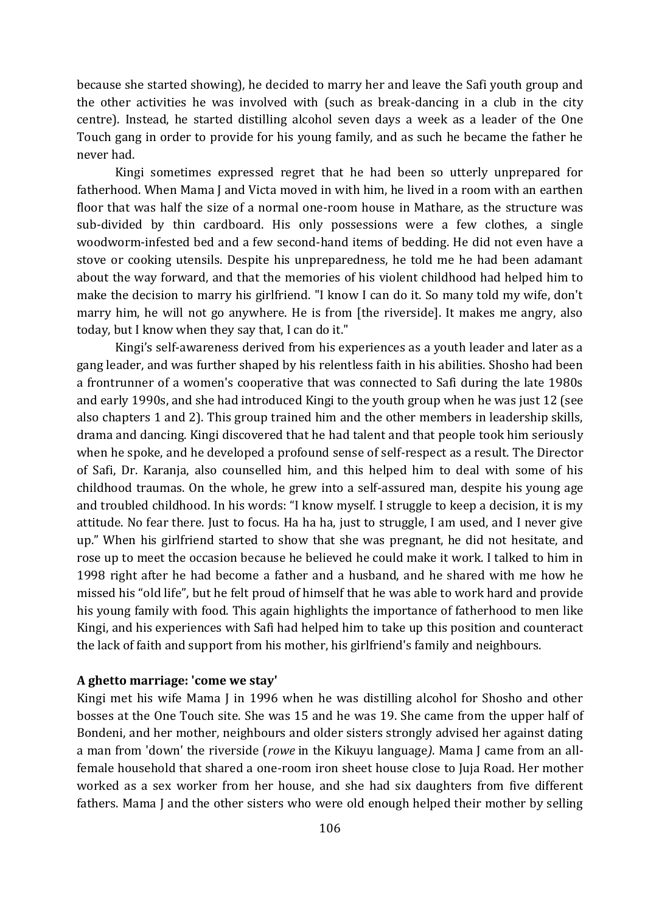because she started showing), he decided to marry her and leave the Safi youth group and the other activities he was involved with (such as break-dancing in a club in the city centre). Instead, he started distilling alcohol seven days a week as a leader of the One Touch gang in order to provide for his young family, and as such he became the father he never had.

Kingi sometimes expressed regret that he had been so utterly unprepared for fatherhood. When Mama J and Victa moved in with him, he lived in a room with an earthen floor that was half the size of a normal one-room house in Mathare, as the structure was sub-divided by thin cardboard. His only possessions were a few clothes, a single woodworm-infested bed and a few second-hand items of bedding. He did not even have a stove or cooking utensils. Despite his unpreparedness, he told me he had been adamant about the way forward, and that the memories of his violent childhood had helped him to make the decision to marry his girlfriend. "I know I can do it. So many told my wife, don't marry him, he will not go anywhere. He is from [the riverside]. It makes me angry, also today, but I know when they say that, I can do it."

Kingi's self-awareness derived from his experiences as a youth leader and later as a gang leader, and was further shaped by his relentless faith in his abilities. Shosho had been a frontrunner of a women's cooperative that was connected to Safi during the late 1980s and early 1990s, and she had introduced Kingi to the youth group when he was just 12 (see also chapters 1 and 2). This group trained him and the other members in leadership skills, drama and dancing. Kingi discovered that he had talent and that people took him seriously when he spoke, and he developed a profound sense of self-respect as a result. The Director of Safi, Dr. Karanja, also counselled him, and this helped him to deal with some of his childhood traumas. On the whole, he grew into a self-assured man, despite his young age and troubled childhood. In his words: "I know myself. I struggle to keep a decision, it is my attitude. No fear there. Just to focus. Ha ha ha, just to struggle, I am used, and I never give up." When his girlfriend started to show that she was pregnant, he did not hesitate, and rose up to meet the occasion because he believed he could make it work. I talked to him in 1998 right after he had become a father and a husband, and he shared with me how he missed his "old life", but he felt proud of himself that he was able to work hard and provide his young family with food. This again highlights the importance of fatherhood to men like Kingi, and his experiences with Safi had helped him to take up this position and counteract the lack of faith and support from his mother, his girlfriend's family and neighbours.

#### **A ghetto marriage: 'come we stay'**

Kingi met his wife Mama J in 1996 when he was distilling alcohol for Shosho and other bosses at the One Touch site. She was 15 and he was 19. She came from the upper half of Bondeni, and her mother, neighbours and older sisters strongly advised her against dating a man from 'down' the riverside (*rowe* in the Kikuyu language*)*. Mama J came from an allfemale household that shared a one-room iron sheet house close to Juja Road. Her mother worked as a sex worker from her house, and she had six daughters from five different fathers. Mama J and the other sisters who were old enough helped their mother by selling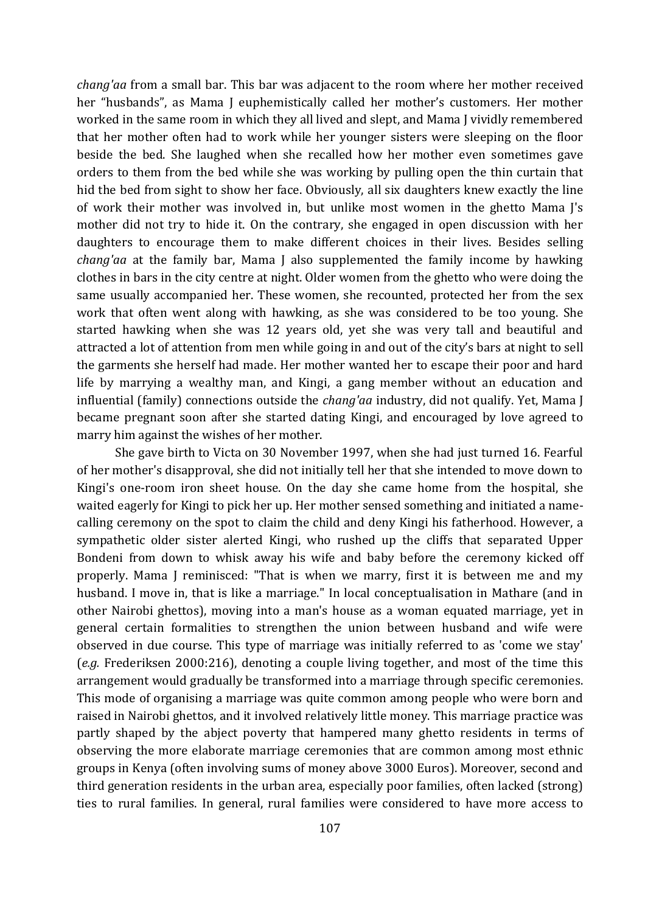*chang'aa* from a small bar. This bar was adjacent to the room where her mother received her "husbands", as Mama J euphemistically called her mother's customers. Her mother worked in the same room in which they all lived and slept, and Mama J vividly remembered that her mother often had to work while her younger sisters were sleeping on the floor beside the bed. She laughed when she recalled how her mother even sometimes gave orders to them from the bed while she was working by pulling open the thin curtain that hid the bed from sight to show her face. Obviously, all six daughters knew exactly the line of work their mother was involved in, but unlike most women in the ghetto Mama J's mother did not try to hide it. On the contrary, she engaged in open discussion with her daughters to encourage them to make different choices in their lives. Besides selling *chang'aa* at the family bar, Mama J also supplemented the family income by hawking clothes in bars in the city centre at night. Older women from the ghetto who were doing the same usually accompanied her. These women, she recounted, protected her from the sex work that often went along with hawking, as she was considered to be too young. She started hawking when she was 12 years old, yet she was very tall and beautiful and attracted a lot of attention from men while going in and out of the city's bars at night to sell the garments she herself had made. Her mother wanted her to escape their poor and hard life by marrying a wealthy man, and Kingi, a gang member without an education and influential (family) connections outside the *chang'aa* industry, did not qualify. Yet, Mama J became pregnant soon after she started dating Kingi, and encouraged by love agreed to marry him against the wishes of her mother.

She gave birth to Victa on 30 November 1997, when she had just turned 16. Fearful of her mother's disapproval, she did not initially tell her that she intended to move down to Kingi's one-room iron sheet house. On the day she came home from the hospital, she waited eagerly for Kingi to pick her up. Her mother sensed something and initiated a namecalling ceremony on the spot to claim the child and deny Kingi his fatherhood. However, a sympathetic older sister alerted Kingi, who rushed up the cliffs that separated Upper Bondeni from down to whisk away his wife and baby before the ceremony kicked off properly. Mama J reminisced: "That is when we marry, first it is between me and my husband. I move in, that is like a marriage." In local conceptualisation in Mathare (and in other Nairobi ghettos), moving into a man's house as a woman equated marriage, yet in general certain formalities to strengthen the union between husband and wife were observed in due course. This type of marriage was initially referred to as 'come we stay' (*e.g.* Frederiksen 2000:216), denoting a couple living together, and most of the time this arrangement would gradually be transformed into a marriage through specific ceremonies. This mode of organising a marriage was quite common among people who were born and raised in Nairobi ghettos, and it involved relatively little money. This marriage practice was partly shaped by the abject poverty that hampered many ghetto residents in terms of observing the more elaborate marriage ceremonies that are common among most ethnic groups in Kenya (often involving sums of money above 3000 Euros). Moreover, second and third generation residents in the urban area, especially poor families, often lacked (strong) ties to rural families. In general, rural families were considered to have more access to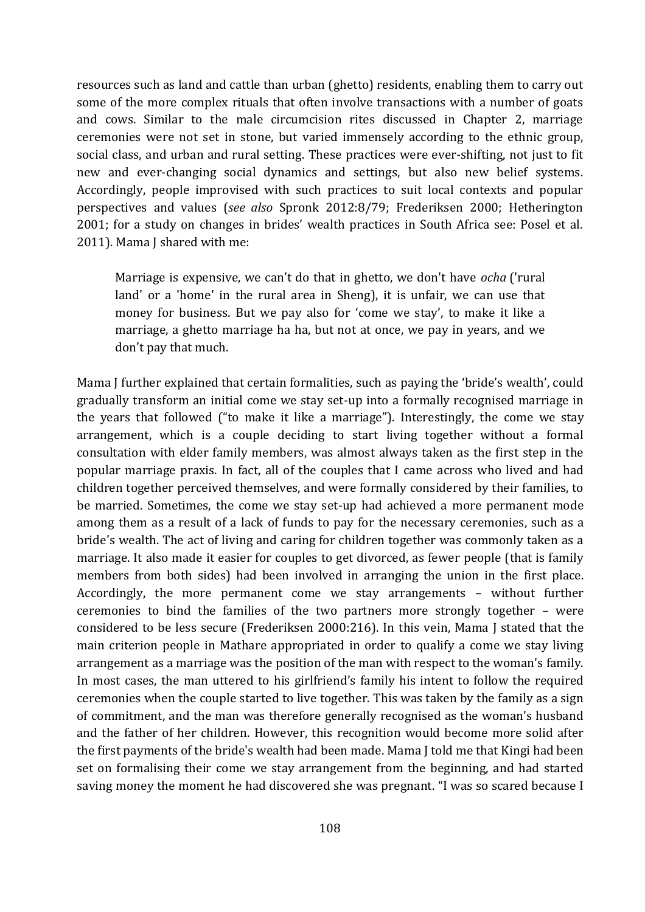resources such as land and cattle than urban (ghetto) residents, enabling them to carry out some of the more complex rituals that often involve transactions with a number of goats and cows. Similar to the male circumcision rites discussed in Chapter 2, marriage ceremonies were not set in stone, but varied immensely according to the ethnic group, social class, and urban and rural setting. These practices were ever-shifting, not just to fit new and ever-changing social dynamics and settings, but also new belief systems. Accordingly, people improvised with such practices to suit local contexts and popular perspectives and values (*see also* Spronk 2012:8/79; Frederiksen 2000; Hetherington 2001; for a study on changes in brides' wealth practices in South Africa see: Posel et al. 2011). Mama J shared with me:

Marriage is expensive, we can't do that in ghetto, we don't have *ocha* ('rural land' or a 'home' in the rural area in Sheng), it is unfair, we can use that money for business. But we pay also for 'come we stay', to make it like a marriage, a ghetto marriage ha ha, but not at once, we pay in years, and we don't pay that much.

Mama J further explained that certain formalities, such as paying the 'bride's wealth', could gradually transform an initial come we stay set-up into a formally recognised marriage in the years that followed ("to make it like a marriage"). Interestingly, the come we stay arrangement, which is a couple deciding to start living together without a formal consultation with elder family members, was almost always taken as the first step in the popular marriage praxis. In fact, all of the couples that I came across who lived and had children together perceived themselves, and were formally considered by their families, to be married. Sometimes, the come we stay set-up had achieved a more permanent mode among them as a result of a lack of funds to pay for the necessary ceremonies, such as a bride's wealth. The act of living and caring for children together was commonly taken as a marriage. It also made it easier for couples to get divorced, as fewer people (that is family members from both sides) had been involved in arranging the union in the first place. Accordingly, the more permanent come we stay arrangements – without further ceremonies to bind the families of the two partners more strongly together – were considered to be less secure (Frederiksen 2000:216). In this vein, Mama J stated that the main criterion people in Mathare appropriated in order to qualify a come we stay living arrangement as a marriage was the position of the man with respect to the woman's family. In most cases, the man uttered to his girlfriend's family his intent to follow the required ceremonies when the couple started to live together. This was taken by the family as a sign of commitment, and the man was therefore generally recognised as the woman's husband and the father of her children. However, this recognition would become more solid after the first payments of the bride's wealth had been made. Mama J told me that Kingi had been set on formalising their come we stay arrangement from the beginning, and had started saving money the moment he had discovered she was pregnant. "I was so scared because I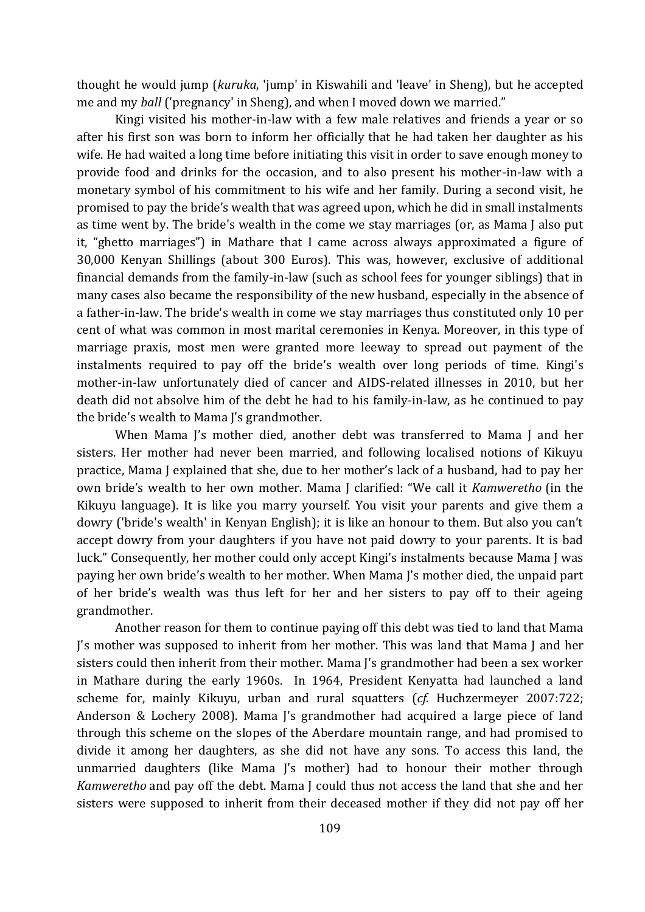thought he would jump (*kuruka*, 'jump' in Kiswahili and 'leave' in Sheng), but he accepted me and my *ball* ('pregnancy' in Sheng), and when I moved down we married."

Kingi visited his mother-in-law with a few male relatives and friends a year or so after his first son was born to inform her officially that he had taken her daughter as his wife. He had waited a long time before initiating this visit in order to save enough money to provide food and drinks for the occasion, and to also present his mother-in-law with a monetary symbol of his commitment to his wife and her family. During a second visit, he promised to pay the bride's wealth that was agreed upon, which he did in small instalments as time went by. The bride's wealth in the come we stay marriages (or, as Mama J also put it, "ghetto marriages") in Mathare that I came across always approximated a figure of 30,000 Kenyan Shillings (about 300 Euros). This was, however, exclusive of additional financial demands from the family-in-law (such as school fees for younger siblings) that in many cases also became the responsibility of the new husband, especially in the absence of a father-in-law. The bride's wealth in come we stay marriages thus constituted only 10 per cent of what was common in most marital ceremonies in Kenya. Moreover, in this type of marriage praxis, most men were granted more leeway to spread out payment of the instalments required to pay off the bride's wealth over long periods of time. Kingi's mother-in-law unfortunately died of cancer and AIDS-related illnesses in 2010, but her death did not absolve him of the debt he had to his family-in-law, as he continued to pay the bride's wealth to Mama J's grandmother.

When Mama J's mother died, another debt was transferred to Mama J and her sisters. Her mother had never been married, and following localised notions of Kikuyu practice, Mama J explained that she, due to her mother's lack of a husband, had to pay her own bride's wealth to her own mother. Mama J clarified: "We call it *Kamweretho* (in the Kikuyu language). It is like you marry yourself. You visit your parents and give them a dowry ('bride's wealth' in Kenyan English); it is like an honour to them. But also you can't accept dowry from your daughters if you have not paid dowry to your parents. It is bad luck." Consequently, her mother could only accept Kingi's instalments because Mama J was paying her own bride's wealth to her mother. When Mama J's mother died, the unpaid part of her bride's wealth was thus left for her and her sisters to pay off to their ageing grandmother.

Another reason for them to continue paying off this debt was tied to land that Mama J's mother was supposed to inherit from her mother. This was land that Mama J and her sisters could then inherit from their mother. Mama J's grandmother had been a sex worker in Mathare during the early 1960s. In 1964, President Kenyatta had launched a land scheme for, mainly Kikuyu, urban and rural squatters (*cf.* Huchzermeyer 2007:722; Anderson & Lochery 2008). Mama J's grandmother had acquired a large piece of land through this scheme on the slopes of the Aberdare mountain range, and had promised to divide it among her daughters, as she did not have any sons. To access this land, the unmarried daughters (like Mama J's mother) had to honour their mother through *Kamweretho* and pay off the debt. Mama J could thus not access the land that she and her sisters were supposed to inherit from their deceased mother if they did not pay off her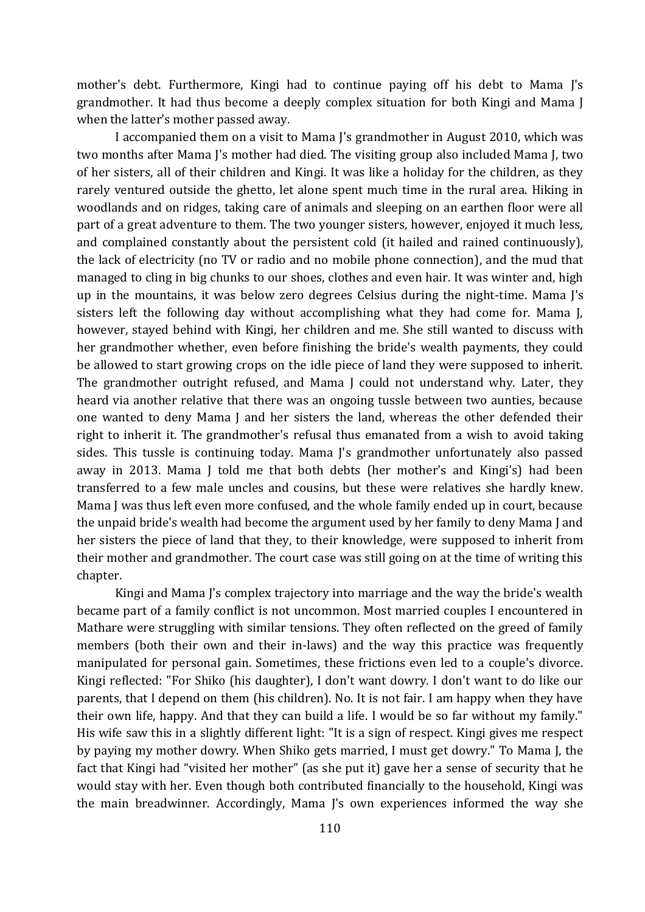mother's debt. Furthermore, Kingi had to continue paying off his debt to Mama J's grandmother. It had thus become a deeply complex situation for both Kingi and Mama J when the latter's mother passed away.

I accompanied them on a visit to Mama J's grandmother in August 2010, which was two months after Mama J's mother had died. The visiting group also included Mama J, two of her sisters, all of their children and Kingi. It was like a holiday for the children, as they rarely ventured outside the ghetto, let alone spent much time in the rural area. Hiking in woodlands and on ridges, taking care of animals and sleeping on an earthen floor were all part of a great adventure to them. The two younger sisters, however, enjoyed it much less, and complained constantly about the persistent cold (it hailed and rained continuously), the lack of electricity (no TV or radio and no mobile phone connection), and the mud that managed to cling in big chunks to our shoes, clothes and even hair. It was winter and, high up in the mountains, it was below zero degrees Celsius during the night-time. Mama J's sisters left the following day without accomplishing what they had come for. Mama J, however, stayed behind with Kingi, her children and me. She still wanted to discuss with her grandmother whether, even before finishing the bride's wealth payments, they could be allowed to start growing crops on the idle piece of land they were supposed to inherit. The grandmother outright refused, and Mama J could not understand why. Later, they heard via another relative that there was an ongoing tussle between two aunties, because one wanted to deny Mama J and her sisters the land, whereas the other defended their right to inherit it. The grandmother's refusal thus emanated from a wish to avoid taking sides. This tussle is continuing today. Mama J's grandmother unfortunately also passed away in 2013. Mama J told me that both debts (her mother's and Kingi's) had been transferred to a few male uncles and cousins, but these were relatives she hardly knew. Mama J was thus left even more confused, and the whole family ended up in court, because the unpaid bride's wealth had become the argument used by her family to deny Mama J and her sisters the piece of land that they, to their knowledge, were supposed to inherit from their mother and grandmother. The court case was still going on at the time of writing this chapter.

Kingi and Mama J's complex trajectory into marriage and the way the bride's wealth became part of a family conflict is not uncommon. Most married couples I encountered in Mathare were struggling with similar tensions. They often reflected on the greed of family members (both their own and their in-laws) and the way this practice was frequently manipulated for personal gain. Sometimes, these frictions even led to a couple's divorce. Kingi reflected: "For Shiko (his daughter), I don't want dowry. I don't want to do like our parents, that I depend on them (his children). No. It is not fair. I am happy when they have their own life, happy. And that they can build a life. I would be so far without my family." His wife saw this in a slightly different light: "It is a sign of respect. Kingi gives me respect by paying my mother dowry. When Shiko gets married, I must get dowry." To Mama J, the fact that Kingi had "visited her mother" (as she put it) gave her a sense of security that he would stay with her. Even though both contributed financially to the household, Kingi was the main breadwinner. Accordingly, Mama J's own experiences informed the way she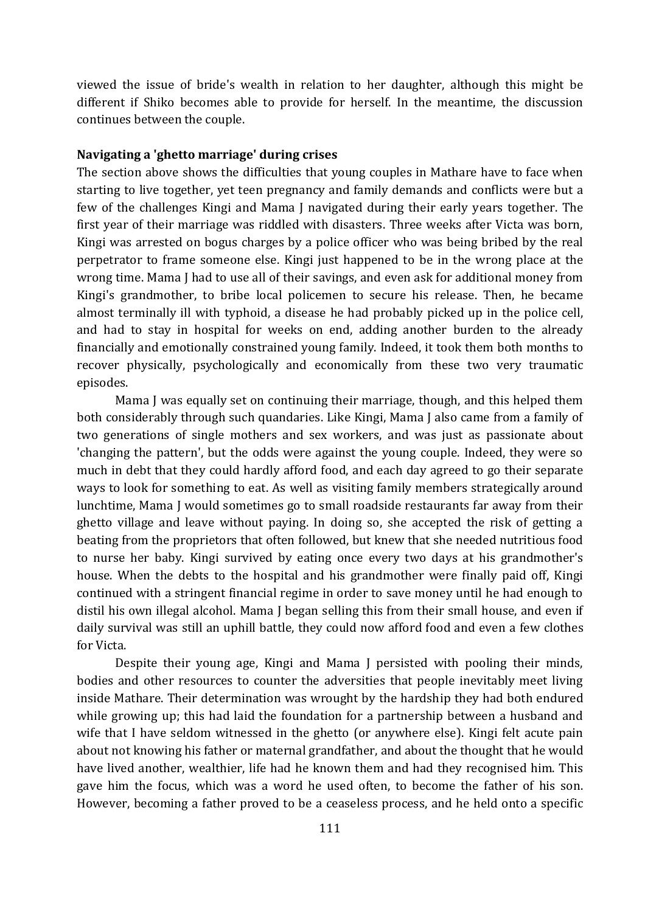viewed the issue of bride's wealth in relation to her daughter, although this might be different if Shiko becomes able to provide for herself. In the meantime, the discussion continues between the couple.

#### **Navigating a 'ghetto marriage' during crises**

The section above shows the difficulties that young couples in Mathare have to face when starting to live together, yet teen pregnancy and family demands and conflicts were but a few of the challenges Kingi and Mama J navigated during their early years together. The first year of their marriage was riddled with disasters. Three weeks after Victa was born, Kingi was arrested on bogus charges by a police officer who was being bribed by the real perpetrator to frame someone else. Kingi just happened to be in the wrong place at the wrong time. Mama J had to use all of their savings, and even ask for additional money from Kingi's grandmother, to bribe local policemen to secure his release. Then, he became almost terminally ill with typhoid, a disease he had probably picked up in the police cell, and had to stay in hospital for weeks on end, adding another burden to the already financially and emotionally constrained young family. Indeed, it took them both months to recover physically, psychologically and economically from these two very traumatic episodes.

Mama J was equally set on continuing their marriage, though, and this helped them both considerably through such quandaries. Like Kingi, Mama J also came from a family of two generations of single mothers and sex workers, and was just as passionate about 'changing the pattern', but the odds were against the young couple. Indeed, they were so much in debt that they could hardly afford food, and each day agreed to go their separate ways to look for something to eat. As well as visiting family members strategically around lunchtime, Mama J would sometimes go to small roadside restaurants far away from their ghetto village and leave without paying. In doing so, she accepted the risk of getting a beating from the proprietors that often followed, but knew that she needed nutritious food to nurse her baby. Kingi survived by eating once every two days at his grandmother's house. When the debts to the hospital and his grandmother were finally paid off, Kingi continued with a stringent financial regime in order to save money until he had enough to distil his own illegal alcohol. Mama J began selling this from their small house, and even if daily survival was still an uphill battle, they could now afford food and even a few clothes for Victa.

Despite their young age, Kingi and Mama J persisted with pooling their minds, bodies and other resources to counter the adversities that people inevitably meet living inside Mathare. Their determination was wrought by the hardship they had both endured while growing up; this had laid the foundation for a partnership between a husband and wife that I have seldom witnessed in the ghetto (or anywhere else). Kingi felt acute pain about not knowing his father or maternal grandfather, and about the thought that he would have lived another, wealthier, life had he known them and had they recognised him. This gave him the focus, which was a word he used often, to become the father of his son. However, becoming a father proved to be a ceaseless process, and he held onto a specific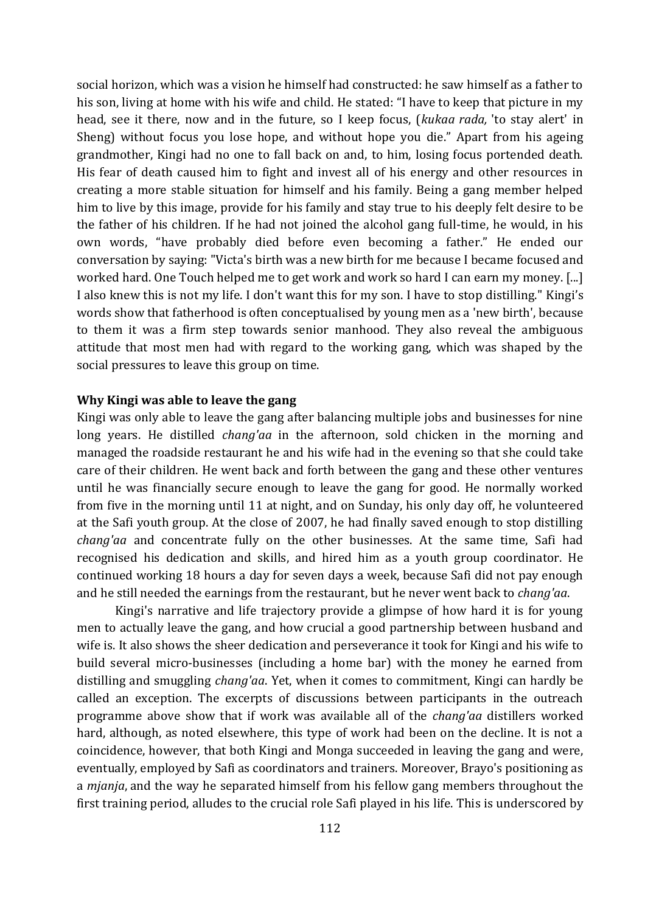social horizon, which was a vision he himself had constructed: he saw himself as a father to his son, living at home with his wife and child. He stated: "I have to keep that picture in my head, see it there, now and in the future, so I keep focus, (*kukaa rada,* 'to stay alert' in Sheng) without focus you lose hope, and without hope you die." Apart from his ageing grandmother, Kingi had no one to fall back on and, to him, losing focus portended death. His fear of death caused him to fight and invest all of his energy and other resources in creating a more stable situation for himself and his family. Being a gang member helped him to live by this image, provide for his family and stay true to his deeply felt desire to be the father of his children. If he had not joined the alcohol gang full-time, he would, in his own words, "have probably died before even becoming a father." He ended our conversation by saying: "Victa's birth was a new birth for me because I became focused and worked hard. One Touch helped me to get work and work so hard I can earn my money. [...] I also knew this is not my life. I don't want this for my son. I have to stop distilling." Kingi's words show that fatherhood is often conceptualised by young men as a 'new birth', because to them it was a firm step towards senior manhood. They also reveal the ambiguous attitude that most men had with regard to the working gang, which was shaped by the social pressures to leave this group on time.

#### **Why Kingi was able to leave the gang**

Kingi was only able to leave the gang after balancing multiple jobs and businesses for nine long years. He distilled *chang'aa* in the afternoon, sold chicken in the morning and managed the roadside restaurant he and his wife had in the evening so that she could take care of their children. He went back and forth between the gang and these other ventures until he was financially secure enough to leave the gang for good. He normally worked from five in the morning until 11 at night, and on Sunday, his only day off, he volunteered at the Safi youth group. At the close of 2007, he had finally saved enough to stop distilling *chang'aa* and concentrate fully on the other businesses. At the same time, Safi had recognised his dedication and skills, and hired him as a youth group coordinator. He continued working 18 hours a day for seven days a week, because Safi did not pay enough and he still needed the earnings from the restaurant, but he never went back to *chang'aa*.

Kingi's narrative and life trajectory provide a glimpse of how hard it is for young men to actually leave the gang, and how crucial a good partnership between husband and wife is. It also shows the sheer dedication and perseverance it took for Kingi and his wife to build several micro-businesses (including a home bar) with the money he earned from distilling and smuggling *chang'aa*. Yet, when it comes to commitment, Kingi can hardly be called an exception. The excerpts of discussions between participants in the outreach programme above show that if work was available all of the *chang'aa* distillers worked hard, although, as noted elsewhere, this type of work had been on the decline. It is not a coincidence, however, that both Kingi and Monga succeeded in leaving the gang and were, eventually, employed by Safi as coordinators and trainers. Moreover, Brayo's positioning as a *mjanja*, and the way he separated himself from his fellow gang members throughout the first training period, alludes to the crucial role Safi played in his life. This is underscored by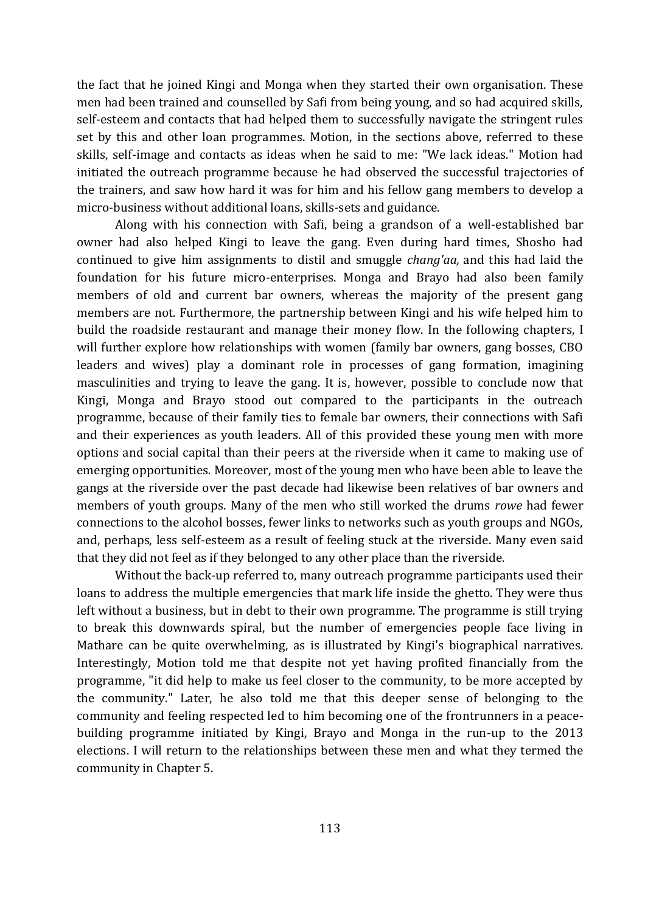the fact that he joined Kingi and Monga when they started their own organisation. These men had been trained and counselled by Safi from being young, and so had acquired skills, self-esteem and contacts that had helped them to successfully navigate the stringent rules set by this and other loan programmes. Motion, in the sections above, referred to these skills, self-image and contacts as ideas when he said to me: "We lack ideas." Motion had initiated the outreach programme because he had observed the successful trajectories of the trainers, and saw how hard it was for him and his fellow gang members to develop a micro-business without additional loans, skills-sets and guidance.

Along with his connection with Safi, being a grandson of a well-established bar owner had also helped Kingi to leave the gang. Even during hard times, Shosho had continued to give him assignments to distil and smuggle *chang'aa,* and this had laid the foundation for his future micro-enterprises. Monga and Brayo had also been family members of old and current bar owners, whereas the majority of the present gang members are not. Furthermore, the partnership between Kingi and his wife helped him to build the roadside restaurant and manage their money flow. In the following chapters, I will further explore how relationships with women (family bar owners, gang bosses, CBO leaders and wives) play a dominant role in processes of gang formation, imagining masculinities and trying to leave the gang. It is, however, possible to conclude now that Kingi, Monga and Brayo stood out compared to the participants in the outreach programme, because of their family ties to female bar owners, their connections with Safi and their experiences as youth leaders. All of this provided these young men with more options and social capital than their peers at the riverside when it came to making use of emerging opportunities. Moreover, most of the young men who have been able to leave the gangs at the riverside over the past decade had likewise been relatives of bar owners and members of youth groups. Many of the men who still worked the drums *rowe* had fewer connections to the alcohol bosses, fewer links to networks such as youth groups and NGOs, and, perhaps, less self-esteem as a result of feeling stuck at the riverside. Many even said that they did not feel as if they belonged to any other place than the riverside.

Without the back-up referred to, many outreach programme participants used their loans to address the multiple emergencies that mark life inside the ghetto. They were thus left without a business, but in debt to their own programme. The programme is still trying to break this downwards spiral, but the number of emergencies people face living in Mathare can be quite overwhelming, as is illustrated by Kingi's biographical narratives. Interestingly, Motion told me that despite not yet having profited financially from the programme, "it did help to make us feel closer to the community, to be more accepted by the community." Later, he also told me that this deeper sense of belonging to the community and feeling respected led to him becoming one of the frontrunners in a peacebuilding programme initiated by Kingi, Brayo and Monga in the run-up to the 2013 elections. I will return to the relationships between these men and what they termed the community in Chapter 5.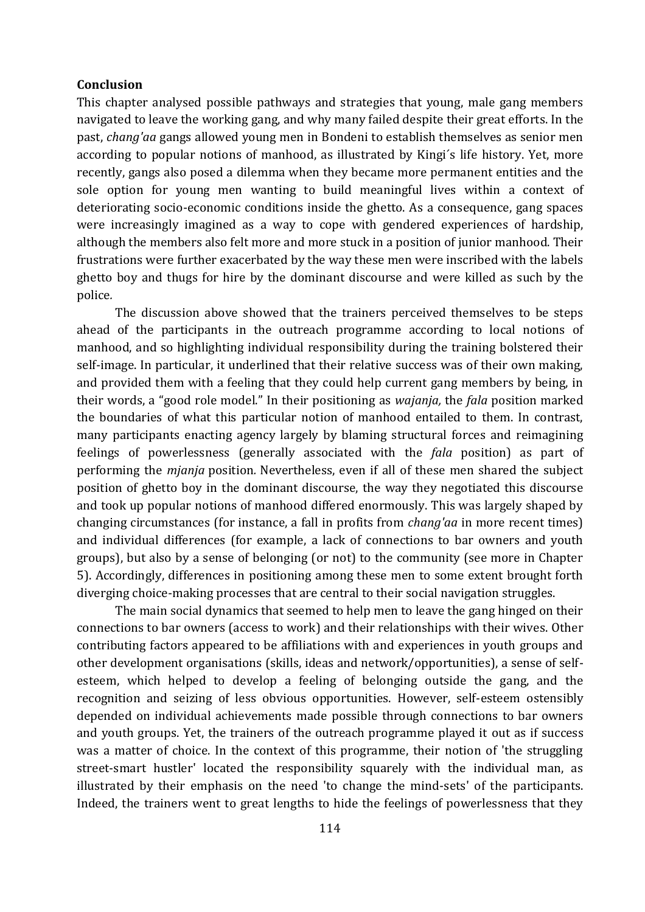#### **Conclusion**

This chapter analysed possible pathways and strategies that young, male gang members navigated to leave the working gang, and why many failed despite their great efforts. In the past, *chang'aa* gangs allowed young men in Bondeni to establish themselves as senior men according to popular notions of manhood, as illustrated by Kingi´s life history. Yet, more recently, gangs also posed a dilemma when they became more permanent entities and the sole option for young men wanting to build meaningful lives within a context of deteriorating socio-economic conditions inside the ghetto. As a consequence, gang spaces were increasingly imagined as a way to cope with gendered experiences of hardship, although the members also felt more and more stuck in a position of junior manhood. Their frustrations were further exacerbated by the way these men were inscribed with the labels ghetto boy and thugs for hire by the dominant discourse and were killed as such by the police*.* 

The discussion above showed that the trainers perceived themselves to be steps ahead of the participants in the outreach programme according to local notions of manhood, and so highlighting individual responsibility during the training bolstered their self-image. In particular, it underlined that their relative success was of their own making, and provided them with a feeling that they could help current gang members by being, in their words, a "good role model." In their positioning as *wajanja,* the *fala* position marked the boundaries of what this particular notion of manhood entailed to them. In contrast, many participants enacting agency largely by blaming structural forces and reimagining feelings of powerlessness (generally associated with the *fala* position) as part of performing the *mjanja* position*.* Nevertheless, even if all of these men shared the subject position of ghetto boy in the dominant discourse, the way they negotiated this discourse and took up popular notions of manhood differed enormously. This was largely shaped by changing circumstances (for instance, a fall in profits from *chang'aa* in more recent times) and individual differences (for example, a lack of connections to bar owners and youth groups), but also by a sense of belonging (or not) to the community (see more in Chapter 5). Accordingly, differences in positioning among these men to some extent brought forth diverging choice-making processes that are central to their social navigation struggles.

The main social dynamics that seemed to help men to leave the gang hinged on their connections to bar owners (access to work) and their relationships with their wives. Other contributing factors appeared to be affiliations with and experiences in youth groups and other development organisations (skills, ideas and network/opportunities), a sense of selfesteem, which helped to develop a feeling of belonging outside the gang, and the recognition and seizing of less obvious opportunities. However, self-esteem ostensibly depended on individual achievements made possible through connections to bar owners and youth groups. Yet, the trainers of the outreach programme played it out as if success was a matter of choice. In the context of this programme, their notion of 'the struggling street-smart hustler' located the responsibility squarely with the individual man, as illustrated by their emphasis on the need 'to change the mind-sets' of the participants. Indeed, the trainers went to great lengths to hide the feelings of powerlessness that they